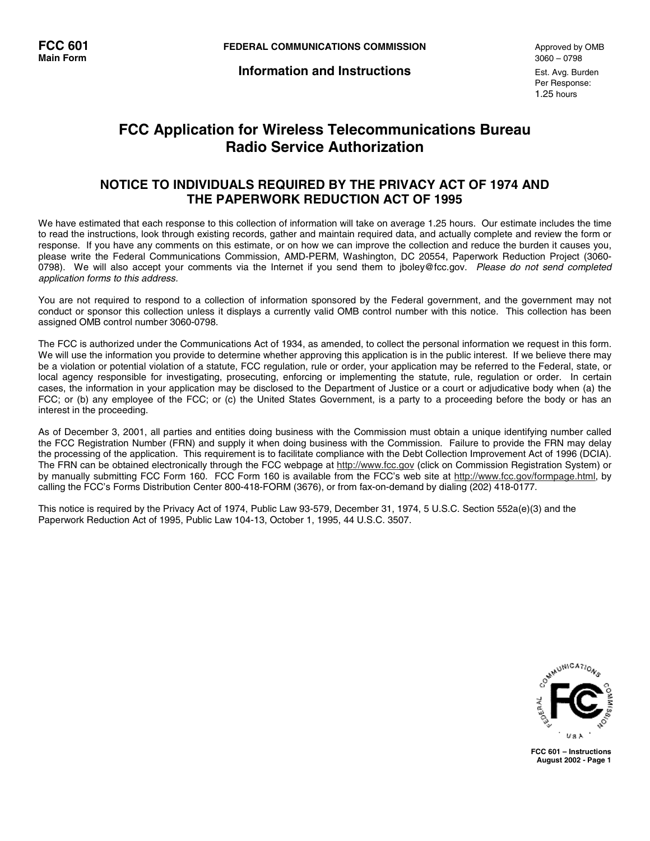**Information and Instructions** Est. Avg. Burden

# **FCC Application for Wireless Telecommunications Bureau Radio Service Authorization**

# **NOTICE TO INDIVIDUALS REQUIRED BY THE PRIVACY ACT OF 1974 AND THE PAPERWORK REDUCTION ACT OF 1995**

We have estimated that each response to this collection of information will take on average 1.25 hours. Our estimate includes the time to read the instructions, look through existing records, gather and maintain required data, and actually complete and review the form or response. If you have any comments on this estimate, or on how we can improve the collection and reduce the burden it causes you, please write the Federal Communications Commission, AMD-PERM, Washington, DC 20554, Paperwork Reduction Project (3060- 0798). We will also accept your comments via the Internet if you send them to jboley@fcc.gov. Please do not send completed application forms to this address.

You are not required to respond to a collection of information sponsored by the Federal government, and the government may not conduct or sponsor this collection unless it displays a currently valid OMB control number with this notice. This collection has been assigned OMB control number 3060-0798.

The FCC is authorized under the Communications Act of 1934, as amended, to collect the personal information we request in this form. We will use the information you provide to determine whether approving this application is in the public interest. If we believe there may be a violation or potential violation of a statute, FCC regulation, rule or order, your application may be referred to the Federal, state, or local agency responsible for investigating, prosecuting, enforcing or implementing the statute, rule, regulation or order. In certain cases, the information in your application may be disclosed to the Department of Justice or a court or adjudicative body when (a) the FCC; or (b) any employee of the FCC; or (c) the United States Government, is a party to a proceeding before the body or has an interest in the proceeding.

As of December 3, 2001, all parties and entities doing business with the Commission must obtain a unique identifying number called the FCC Registration Number (FRN) and supply it when doing business with the Commission. Failure to provide the FRN may delay the processing of the application. This requirement is to facilitate compliance with the Debt Collection Improvement Act of 1996 (DCIA). The FRN can be obtained electronically through the FCC webpage at http://www.fcc.gov (click on Commission Registration System) or by manually submitting FCC Form 160. FCC Form 160 is available from the FCC's web site at http://www.fcc.gov/formpage.html, by calling the FCC's Forms Distribution Center 800-418-FORM (3676), or from fax-on-demand by dialing (202) 418-0177.

This notice is required by the Privacy Act of 1974, Public Law 93-579, December 31, 1974, 5 U.S.C. Section 552a(e)(3) and the Paperwork Reduction Act of 1995, Public Law 104-13, October 1, 1995, 44 U.S.C. 3507.



**FCC 601 – Instructions August 2002 - Page 1**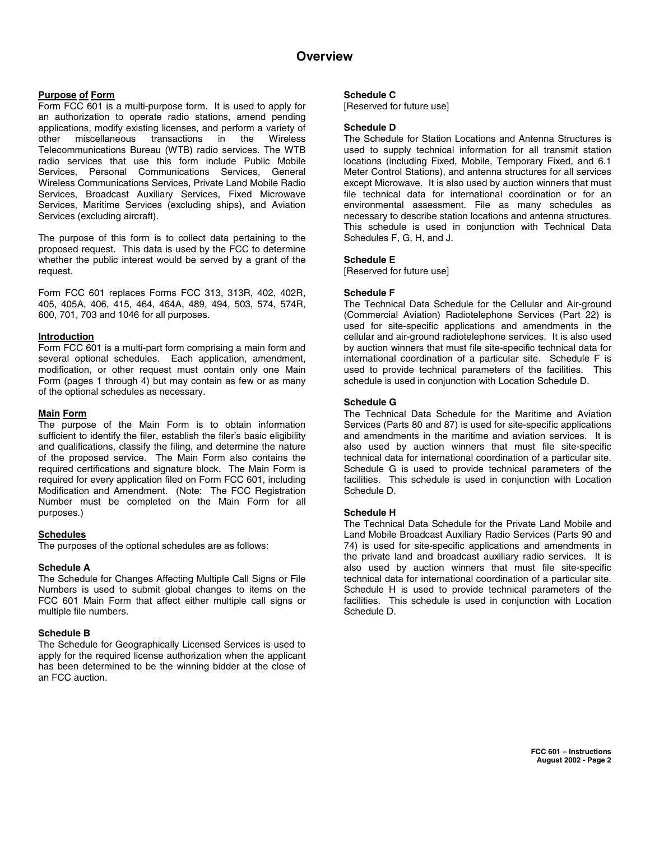# **Overview**

# **Purpose of Form**

Form FCC 601 is a multi-purpose form. It is used to apply for an authorization to operate radio stations, amend pending applications, modify existing licenses, and perform a variety of other miscellaneous transactions in the Wireless Telecommunications Bureau (WTB) radio services. The WTB radio services that use this form include Public Mobile Services, Personal Communications Services, General Wireless Communications Services, Private Land Mobile Radio Services, Broadcast Auxiliary Services, Fixed Microwave Services, Maritime Services (excluding ships), and Aviation Services (excluding aircraft).

The purpose of this form is to collect data pertaining to the proposed request. This data is used by the FCC to determine whether the public interest would be served by a grant of the request.

Form FCC 601 replaces Forms FCC 313, 313R, 402, 402R, 405, 405A, 406, 415, 464, 464A, 489, 494, 503, 574, 574R, 600, 701, 703 and 1046 for all purposes.

# **Introduction**

Form FCC 601 is a multi-part form comprising a main form and several optional schedules. Each application, amendment, modification, or other request must contain only one Main Form (pages 1 through 4) but may contain as few or as many of the optional schedules as necessary.

# **Main Form**

The purpose of the Main Form is to obtain information sufficient to identify the filer, establish the filer's basic eligibility and qualifications, classify the filing, and determine the nature of the proposed service. The Main Form also contains the required certifications and signature block. The Main Form is required for every application filed on Form FCC 601, including Modification and Amendment. (Note: The FCC Registration Number must be completed on the Main Form for all purposes.)

# **Schedules**

The purposes of the optional schedules are as follows:

# **Schedule A**

The Schedule for Changes Affecting Multiple Call Signs or File Numbers is used to submit global changes to items on the FCC 601 Main Form that affect either multiple call signs or multiple file numbers.

# **Schedule B**

The Schedule for Geographically Licensed Services is used to apply for the required license authorization when the applicant has been determined to be the winning bidder at the close of an FCC auction.

#### **Schedule C**

[Reserved for future use]

#### **Schedule D**

The Schedule for Station Locations and Antenna Structures is used to supply technical information for all transmit station locations (including Fixed, Mobile, Temporary Fixed, and 6.1 Meter Control Stations), and antenna structures for all services except Microwave. It is also used by auction winners that must file technical data for international coordination or for an environmental assessment. File as many schedules as necessary to describe station locations and antenna structures. This schedule is used in conjunction with Technical Data Schedules F, G, H, and J.

#### **Schedule E**

[Reserved for future use]

#### **Schedule F**

The Technical Data Schedule for the Cellular and Air-ground (Commercial Aviation) Radiotelephone Services (Part 22) is used for site-specific applications and amendments in the cellular and air-ground radiotelephone services. It is also used by auction winners that must file site-specific technical data for international coordination of a particular site. Schedule F is used to provide technical parameters of the facilities. This schedule is used in conjunction with Location Schedule D.

#### **Schedule G**

The Technical Data Schedule for the Maritime and Aviation Services (Parts 80 and 87) is used for site-specific applications and amendments in the maritime and aviation services. It is also used by auction winners that must file site-specific technical data for international coordination of a particular site. Schedule G is used to provide technical parameters of the facilities. This schedule is used in conjunction with Location Schedule D.

# **Schedule H**

The Technical Data Schedule for the Private Land Mobile and Land Mobile Broadcast Auxiliary Radio Services (Parts 90 and 74) is used for site-specific applications and amendments in the private land and broadcast auxiliary radio services. It is also used by auction winners that must file site-specific technical data for international coordination of a particular site. Schedule H is used to provide technical parameters of the facilities. This schedule is used in conjunction with Location Schedule D.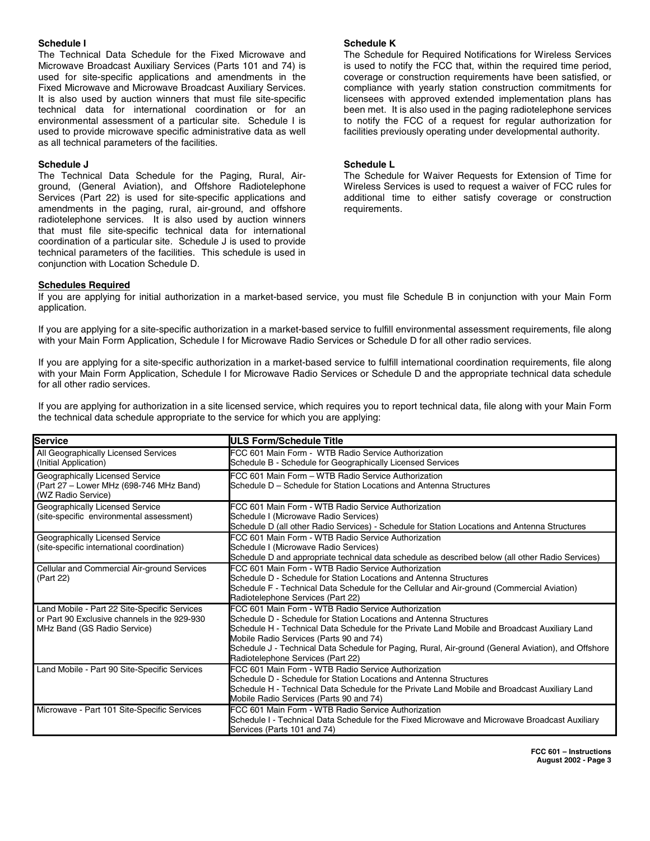#### **Schedule I**

The Technical Data Schedule for the Fixed Microwave and Microwave Broadcast Auxiliary Services (Parts 101 and 74) is used for site-specific applications and amendments in the Fixed Microwave and Microwave Broadcast Auxiliary Services. It is also used by auction winners that must file site-specific technical data for international coordination or for an environmental assessment of a particular site. Schedule I is used to provide microwave specific administrative data as well as all technical parameters of the facilities.

#### **Schedule J**

The Technical Data Schedule for the Paging, Rural, Airground, (General Aviation), and Offshore Radiotelephone Services (Part 22) is used for site-specific applications and amendments in the paging, rural, air-ground, and offshore radiotelephone services. It is also used by auction winners that must file site-specific technical data for international coordination of a particular site. Schedule J is used to provide technical parameters of the facilities. This schedule is used in conjunction with Location Schedule D.

#### **Schedule K**

The Schedule for Required Notifications for Wireless Services is used to notify the FCC that, within the required time period, coverage or construction requirements have been satisfied, or compliance with yearly station construction commitments for licensees with approved extended implementation plans has been met. It is also used in the paging radiotelephone services to notify the FCC of a request for regular authorization for facilities previously operating under developmental authority.

#### **Schedule L**

The Schedule for Waiver Requests for Extension of Time for Wireless Services is used to request a waiver of FCC rules for additional time to either satisfy coverage or construction requirements.

#### **Schedules Required**

If you are applying for initial authorization in a market-based service, you must file Schedule B in conjunction with your Main Form application.

If you are applying for a site-specific authorization in a market-based service to fulfill environmental assessment requirements, file along with your Main Form Application, Schedule I for Microwave Radio Services or Schedule D for all other radio services.

If you are applying for a site-specific authorization in a market-based service to fulfill international coordination requirements, file along with your Main Form Application, Schedule I for Microwave Radio Services or Schedule D and the appropriate technical data schedule for all other radio services.

If you are applying for authorization in a site licensed service, which requires you to report technical data, file along with your Main Form the technical data schedule appropriate to the service for which you are applying:

| <b>Service</b>                                                                                                              | <b>IULS Form/Schedule Title</b>                                                                                                                                                                                                                                                                                                                                                                                   |
|-----------------------------------------------------------------------------------------------------------------------------|-------------------------------------------------------------------------------------------------------------------------------------------------------------------------------------------------------------------------------------------------------------------------------------------------------------------------------------------------------------------------------------------------------------------|
| All Geographically Licensed Services<br>(Initial Application)                                                               | FCC 601 Main Form - WTB Radio Service Authorization<br>Schedule B - Schedule for Geographically Licensed Services                                                                                                                                                                                                                                                                                                 |
| Geographically Licensed Service<br>(Part 27 – Lower MHz (698-746 MHz Band)<br>(WZ Radio Service)                            | FCC 601 Main Form - WTB Radio Service Authorization<br>Schedule D - Schedule for Station Locations and Antenna Structures                                                                                                                                                                                                                                                                                         |
| Geographically Licensed Service<br>(site-specific environmental assessment)                                                 | FCC 601 Main Form - WTB Radio Service Authorization<br>Schedule I (Microwave Radio Services)<br>Schedule D (all other Radio Services) - Schedule for Station Locations and Antenna Structures                                                                                                                                                                                                                     |
| Geographically Licensed Service<br>(site-specific international coordination)                                               | FCC 601 Main Form - WTB Radio Service Authorization<br>Schedule I (Microwave Radio Services)<br>Schedule D and appropriate technical data schedule as described below (all other Radio Services)                                                                                                                                                                                                                  |
| Cellular and Commercial Air-ground Services<br>(Part 22)                                                                    | FCC 601 Main Form - WTB Radio Service Authorization<br>Schedule D - Schedule for Station Locations and Antenna Structures<br>Schedule F - Technical Data Schedule for the Cellular and Air-ground (Commercial Aviation)<br>Radiotelephone Services (Part 22)                                                                                                                                                      |
| Land Mobile - Part 22 Site-Specific Services<br>or Part 90 Exclusive channels in the 929-930<br>MHz Band (GS Radio Service) | FCC 601 Main Form - WTB Radio Service Authorization<br>Schedule D - Schedule for Station Locations and Antenna Structures<br>Schedule H - Technical Data Schedule for the Private Land Mobile and Broadcast Auxiliary Land<br>Mobile Radio Services (Parts 90 and 74)<br>Schedule J - Technical Data Schedule for Paging, Rural, Air-ground (General Aviation), and Offshore<br>Radiotelephone Services (Part 22) |
| Land Mobile - Part 90 Site-Specific Services                                                                                | FCC 601 Main Form - WTB Radio Service Authorization<br>Schedule D - Schedule for Station Locations and Antenna Structures<br>Schedule H - Technical Data Schedule for the Private Land Mobile and Broadcast Auxiliary Land<br>Mobile Radio Services (Parts 90 and 74)                                                                                                                                             |
| Microwave - Part 101 Site-Specific Services                                                                                 | FCC 601 Main Form - WTB Radio Service Authorization<br>Schedule I - Technical Data Schedule for the Fixed Microwave and Microwave Broadcast Auxiliary<br>Services (Parts 101 and 74)                                                                                                                                                                                                                              |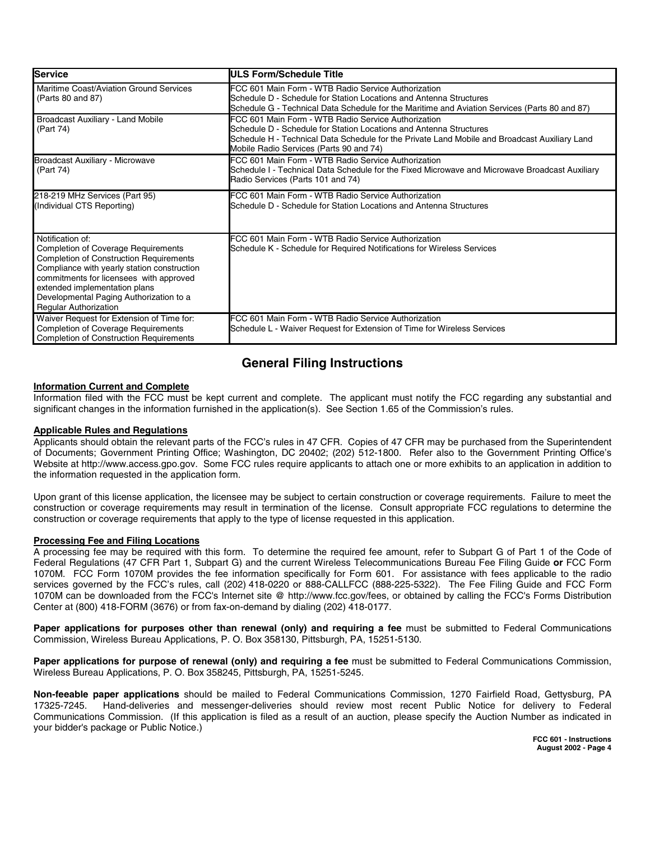| <b>Service</b>                                                                                                                                                                                                                                                                                                         | <b>ULS Form/Schedule Title</b>                                                                                                                                                                                                                                        |
|------------------------------------------------------------------------------------------------------------------------------------------------------------------------------------------------------------------------------------------------------------------------------------------------------------------------|-----------------------------------------------------------------------------------------------------------------------------------------------------------------------------------------------------------------------------------------------------------------------|
| Maritime Coast/Aviation Ground Services<br>(Parts 80 and 87)                                                                                                                                                                                                                                                           | FCC 601 Main Form - WTB Radio Service Authorization<br>Schedule D - Schedule for Station Locations and Antenna Structures<br>Schedule G - Technical Data Schedule for the Maritime and Aviation Services (Parts 80 and 87)                                            |
| <b>Broadcast Auxiliary - Land Mobile</b><br>(Part 74)                                                                                                                                                                                                                                                                  | FCC 601 Main Form - WTB Radio Service Authorization<br>Schedule D - Schedule for Station Locations and Antenna Structures<br>Schedule H - Technical Data Schedule for the Private Land Mobile and Broadcast Auxiliary Land<br>Mobile Radio Services (Parts 90 and 74) |
| <b>Broadcast Auxiliary - Microwave</b><br>(Part 74)                                                                                                                                                                                                                                                                    | FCC 601 Main Form - WTB Radio Service Authorization<br>Schedule I - Technical Data Schedule for the Fixed Microwave and Microwave Broadcast Auxiliary<br>Radio Services (Parts 101 and 74)                                                                            |
| 218-219 MHz Services (Part 95)<br>(Individual CTS Reporting)                                                                                                                                                                                                                                                           | FCC 601 Main Form - WTB Radio Service Authorization<br>Schedule D - Schedule for Station Locations and Antenna Structures                                                                                                                                             |
| Notification of:<br><b>Completion of Coverage Requirements</b><br><b>Completion of Construction Requirements</b><br>Compliance with yearly station construction<br>commitments for licensees with approved<br>extended implementation plans<br>Developmental Paging Authorization to a<br><b>Regular Authorization</b> | FCC 601 Main Form - WTB Radio Service Authorization<br>Schedule K - Schedule for Required Notifications for Wireless Services                                                                                                                                         |
| Waiver Request for Extension of Time for:<br><b>Completion of Coverage Requirements</b><br><b>Completion of Construction Requirements</b>                                                                                                                                                                              | FCC 601 Main Form - WTB Radio Service Authorization<br>Schedule L - Waiver Request for Extension of Time for Wireless Services                                                                                                                                        |

# **General Filing Instructions**

# **Information Current and Complete**

Information filed with the FCC must be kept current and complete. The applicant must notify the FCC regarding any substantial and significant changes in the information furnished in the application(s). See Section 1.65 of the Commission's rules.

# **Applicable Rules and Regulations**

Applicants should obtain the relevant parts of the FCC's rules in 47 CFR. Copies of 47 CFR may be purchased from the Superintendent of Documents; Government Printing Office; Washington, DC 20402; (202) 512-1800. Refer also to the Government Printing Office's Website at http://www.access.gpo.gov. Some FCC rules require applicants to attach one or more exhibits to an application in addition to the information requested in the application form.

Upon grant of this license application, the licensee may be subject to certain construction or coverage requirements. Failure to meet the construction or coverage requirements may result in termination of the license. Consult appropriate FCC regulations to determine the construction or coverage requirements that apply to the type of license requested in this application.

# **Processing Fee and Filing Locations**

A processing fee may be required with this form. To determine the required fee amount, refer to Subpart G of Part 1 of the Code of Federal Regulations (47 CFR Part 1, Subpart G) and the current Wireless Telecommunications Bureau Fee Filing Guide **or** FCC Form 1070M. FCC Form 1070M provides the fee information specifically for Form 601. For assistance with fees applicable to the radio services governed by the FCC's rules, call (202) 418-0220 or 888-CALLFCC (888-225-5322). The Fee Filing Guide and FCC Form 1070M can be downloaded from the FCC's Internet site @ http://www.fcc.gov/fees, or obtained by calling the FCC's Forms Distribution Center at (800) 418-FORM (3676) or from fax-on-demand by dialing (202) 418-0177.

**Paper applications for purposes other than renewal (only) and requiring a fee** must be submitted to Federal Communications Commission, Wireless Bureau Applications, P. O. Box 358130, Pittsburgh, PA, 15251-5130.

**Paper applications for purpose of renewal (only) and requiring a fee** must be submitted to Federal Communications Commission, Wireless Bureau Applications, P. O. Box 358245, Pittsburgh, PA, 15251-5245.

**Non-feeable paper applications** should be mailed to Federal Communications Commission, 1270 Fairfield Road, Gettysburg, PA 17325-7245. Hand-deliveries and messenger-deliveries should review most recent Public Notice for delivery to Federal Communications Commission. (If this application is filed as a result of an auction, please specify the Auction Number as indicated in your bidder's package or Public Notice.)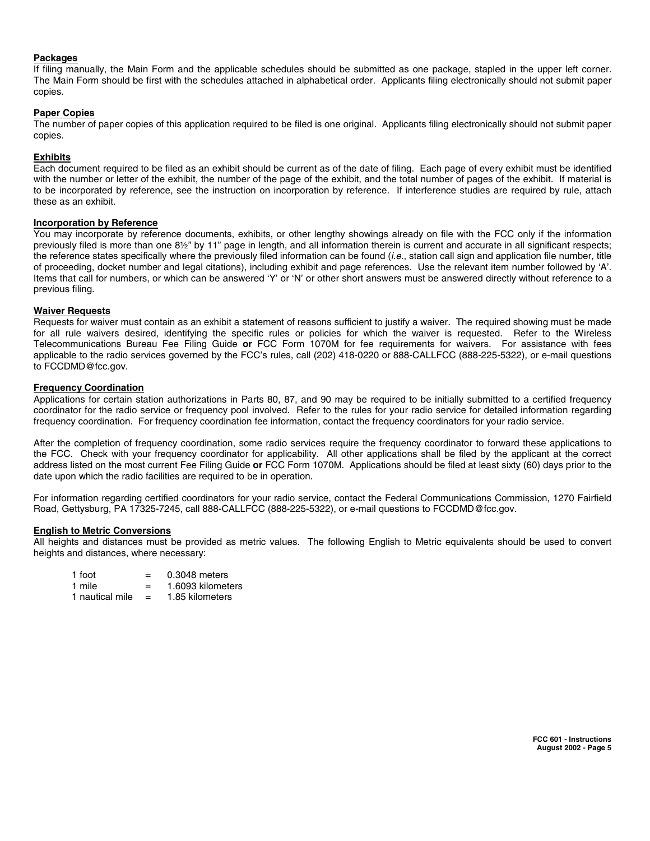#### **Packages**

If filing manually, the Main Form and the applicable schedules should be submitted as one package, stapled in the upper left corner. The Main Form should be first with the schedules attached in alphabetical order. Applicants filing electronically should not submit paper copies.

# **Paper Copies**

The number of paper copies of this application required to be filed is one original. Applicants filing electronically should not submit paper copies.

#### **Exhibits**

Each document required to be filed as an exhibit should be current as of the date of filing. Each page of every exhibit must be identified with the number or letter of the exhibit, the number of the page of the exhibit, and the total number of pages of the exhibit. If material is to be incorporated by reference, see the instruction on incorporation by reference. If interference studies are required by rule, attach these as an exhibit.

#### **Incorporation by Reference**

You may incorporate by reference documents, exhibits, or other lengthy showings already on file with the FCC only if the information previously filed is more than one 8½" by 11" page in length, and all information therein is current and accurate in all significant respects; the reference states specifically where the previously filed information can be found (i.e., station call sign and application file number, title of proceeding, docket number and legal citations), including exhibit and page references. Use the relevant item number followed by 'A'. Items that call for numbers, or which can be answered 'Y' or 'N' or other short answers must be answered directly without reference to a previous filing.

#### **Waiver Requests**

Requests for waiver must contain as an exhibit a statement of reasons sufficient to justify a waiver. The required showing must be made for all rule waivers desired, identifying the specific rules or policies for which the waiver is requested. Refer to the Wireless Telecommunications Bureau Fee Filing Guide **or** FCC Form 1070M for fee requirements for waivers. For assistance with fees applicable to the radio services governed by the FCC's rules, call (202) 418-0220 or 888-CALLFCC (888-225-5322), or e-mail questions to FCCDMD@fcc.gov.

#### **Frequency Coordination**

Applications for certain station authorizations in Parts 80, 87, and 90 may be required to be initially submitted to a certified frequency coordinator for the radio service or frequency pool involved. Refer to the rules for your radio service for detailed information regarding frequency coordination. For frequency coordination fee information, contact the frequency coordinators for your radio service.

After the completion of frequency coordination, some radio services require the frequency coordinator to forward these applications to the FCC. Check with your frequency coordinator for applicability. All other applications shall be filed by the applicant at the correct address listed on the most current Fee Filing Guide **or** FCC Form 1070M. Applications should be filed at least sixty (60) days prior to the date upon which the radio facilities are required to be in operation.

For information regarding certified coordinators for your radio service, contact the Federal Communications Commission, 1270 Fairfield Road, Gettysburg, PA 17325-7245, call 888-CALLFCC (888-225-5322), or e-mail questions to FCCDMD@fcc.gov.

#### **English to Metric Conversions**

All heights and distances must be provided as metric values. The following English to Metric equivalents should be used to convert heights and distances, where necessary:

| 1 foot          |     | 0.3048 meters     |
|-----------------|-----|-------------------|
| 1 mile          | $=$ | 1.6093 kilometers |
| 1 nautical mile | $=$ | 1.85 kilometers   |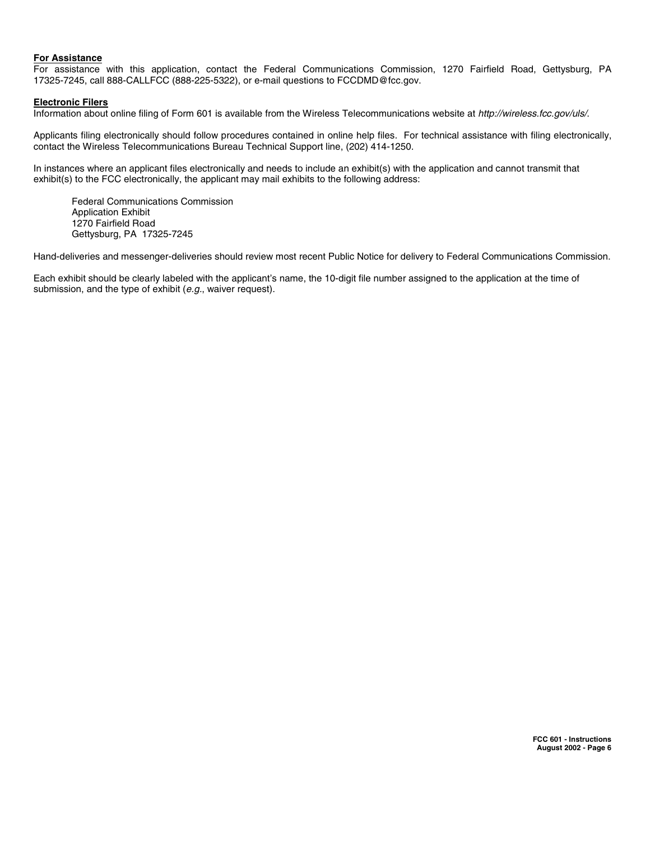# **For Assistance**

For assistance with this application, contact the Federal Communications Commission, 1270 Fairfield Road, Gettysburg, PA 17325-7245, call 888-CALLFCC (888-225-5322), or e-mail questions to FCCDMD@fcc.gov.

#### **Electronic Filers**

Information about online filing of Form 601 is available from the Wireless Telecommunications website at http://wireless.fcc.gov/uls/.

Applicants filing electronically should follow procedures contained in online help files. For technical assistance with filing electronically, contact the Wireless Telecommunications Bureau Technical Support line, (202) 414-1250.

In instances where an applicant files electronically and needs to include an exhibit(s) with the application and cannot transmit that exhibit(s) to the FCC electronically, the applicant may mail exhibits to the following address:

Federal Communications Commission Application Exhibit 1270 Fairfield Road Gettysburg, PA 17325-7245

Hand-deliveries and messenger-deliveries should review most recent Public Notice for delivery to Federal Communications Commission.

Each exhibit should be clearly labeled with the applicant's name, the 10-digit file number assigned to the application at the time of submission, and the type of exhibit (e.g., waiver request).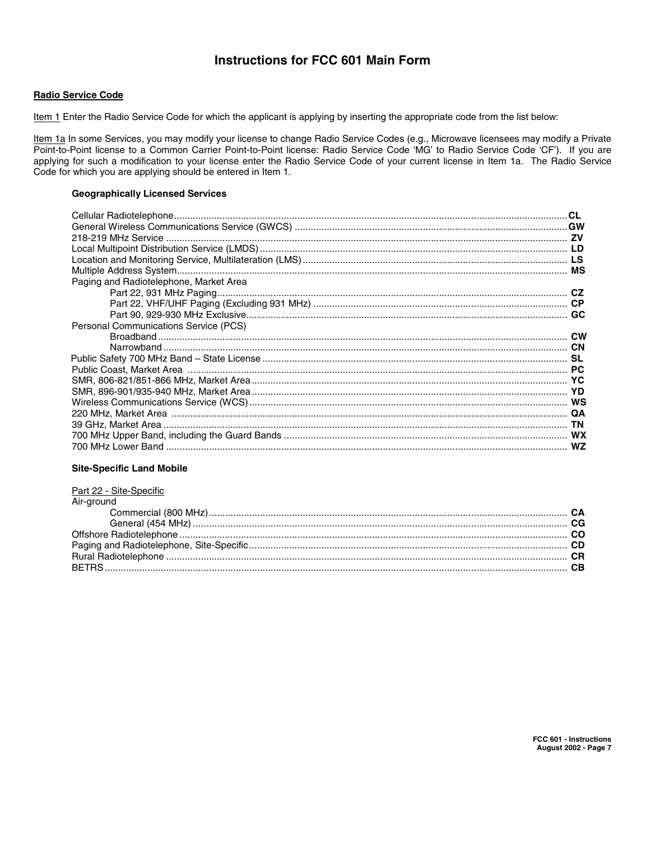# **Instructions for FCC 601 Main Form**

# **Radio Service Code**

Item 1 Enter the Radio Service Code for which the applicant is applying by inserting the appropriate code from the list below:

Item 1a In some Services, you may modify your license to change Radio Service Codes (e.g., Microwave licensees may modify a Private Point-to-Point license to a Common Carrier Point-to-Point license: Radio Service Code 'MG' to Radio Service Code 'CF'). If you are applying for such a modification to your license enter the Radio Service Code of your current license in Item 1a. The Radio Service Code for which you are applying should be entered in Item 1.

# **Geographically Licensed Services**

| Paging and Radiotelephone, Market Area       |  |
|----------------------------------------------|--|
|                                              |  |
|                                              |  |
|                                              |  |
| <b>Personal Communications Service (PCS)</b> |  |
|                                              |  |
|                                              |  |
|                                              |  |
|                                              |  |
|                                              |  |
|                                              |  |
|                                              |  |
|                                              |  |
|                                              |  |
|                                              |  |
|                                              |  |
|                                              |  |

# **Site-Specific Land Mobile**

| Part 22 - Site-Specific |  |
|-------------------------|--|
| Air-ground              |  |
|                         |  |
|                         |  |
|                         |  |
|                         |  |
|                         |  |
|                         |  |
|                         |  |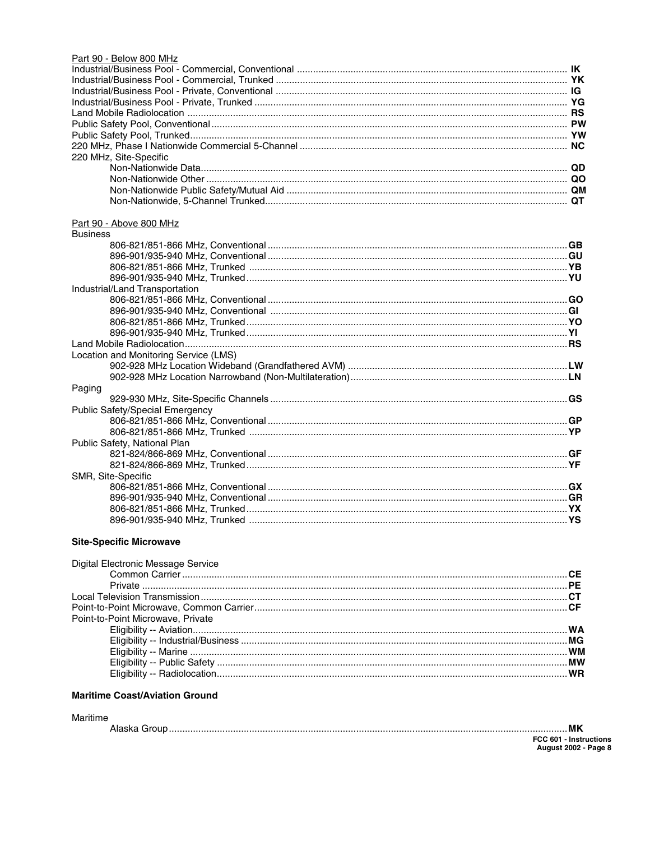| Part 90 - Below 800 MHz                |  |
|----------------------------------------|--|
|                                        |  |
|                                        |  |
|                                        |  |
|                                        |  |
|                                        |  |
|                                        |  |
|                                        |  |
|                                        |  |
| 220 MHz, Site-Specific                 |  |
|                                        |  |
|                                        |  |
|                                        |  |
|                                        |  |
|                                        |  |
| Part 90 - Above 800 MHz                |  |
| <b>Business</b>                        |  |
|                                        |  |
|                                        |  |
|                                        |  |
|                                        |  |
| Industrial/Land Transportation         |  |
|                                        |  |
|                                        |  |
|                                        |  |
|                                        |  |
|                                        |  |
| Location and Monitoring Service (LMS)  |  |
|                                        |  |
|                                        |  |
| Paging                                 |  |
|                                        |  |
| <b>Public Safety/Special Emergency</b> |  |
|                                        |  |
|                                        |  |
| Public Safety, National Plan           |  |
|                                        |  |
|                                        |  |
| SMR, Site-Specific                     |  |
|                                        |  |
|                                        |  |
|                                        |  |
|                                        |  |

# **Site-Specific Microwave**

| Digital Electronic Message Service |    |
|------------------------------------|----|
|                                    |    |
|                                    |    |
|                                    |    |
|                                    |    |
| Point-to-Point Microwave, Private  |    |
|                                    |    |
|                                    |    |
|                                    |    |
|                                    |    |
|                                    | WR |
|                                    |    |

# **Maritime Coast/Aviation Ground**

| Maritime |                             |
|----------|-----------------------------|
|          | MΚ                          |
|          | FCC 601 - Instructions      |
|          | <b>August 2002 - Page 8</b> |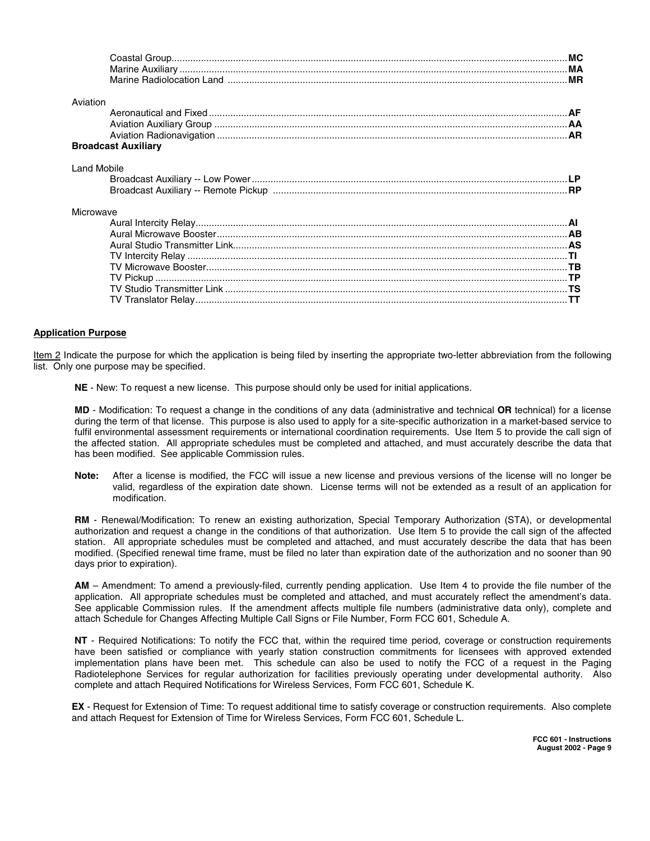| Aviation                   |  |
|----------------------------|--|
|                            |  |
|                            |  |
|                            |  |
| <b>Broadcast Auxiliary</b> |  |
| <b>Land Mobile</b>         |  |
|                            |  |
|                            |  |
| Microwave                  |  |
|                            |  |
|                            |  |
|                            |  |
|                            |  |
|                            |  |
|                            |  |
|                            |  |
|                            |  |
|                            |  |

# **Application Purpose**

Item 2 Indicate the purpose for which the application is being filed by inserting the appropriate two-letter abbreviation from the following list. Only one purpose may be specified.

**NE** - New: To request a new license. This purpose should only be used for initial applications.

**MD** - Modification: To request a change in the conditions of any data (administrative and technical **OR** technical) for a license during the term of that license. This purpose is also used to apply for a site-specific authorization in a market-based service to fulfil environmental assessment requirements or international coordination requirements. Use Item 5 to provide the call sign of the affected station. All appropriate schedules must be completed and attached, and must accurately describe the data that has been modified. See applicable Commission rules.

**Note:** After a license is modified, the FCC will issue a new license and previous versions of the license will no longer be valid, regardless of the expiration date shown. License terms will not be extended as a result of an application for modification.

**RM** - Renewal/Modification: To renew an existing authorization, Special Temporary Authorization (STA), or developmental authorization and request a change in the conditions of that authorization. Use Item 5 to provide the call sign of the affected station. All appropriate schedules must be completed and attached, and must accurately describe the data that has been modified. (Specified renewal time frame, must be filed no later than expiration date of the authorization and no sooner than 90 days prior to expiration).

**AM** – Amendment: To amend a previously-filed, currently pending application. Use Item 4 to provide the file number of the application. All appropriate schedules must be completed and attached, and must accurately reflect the amendment's data. See applicable Commission rules. If the amendment affects multiple file numbers (administrative data only), complete and attach Schedule for Changes Affecting Multiple Call Signs or File Number, Form FCC 601, Schedule A.

**NT** - Required Notifications: To notify the FCC that, within the required time period, coverage or construction requirements have been satisfied or compliance with yearly station construction commitments for licensees with approved extended implementation plans have been met. This schedule can also be used to notify the FCC of a request in the Paging Radiotelephone Services for regular authorization for facilities previously operating under developmental authority. Also complete and attach Required Notifications for Wireless Services, Form FCC 601, Schedule K.

**EX** - Request for Extension of Time: To request additional time to satisfy coverage or construction requirements. Also complete and attach Request for Extension of Time for Wireless Services, Form FCC 601, Schedule L.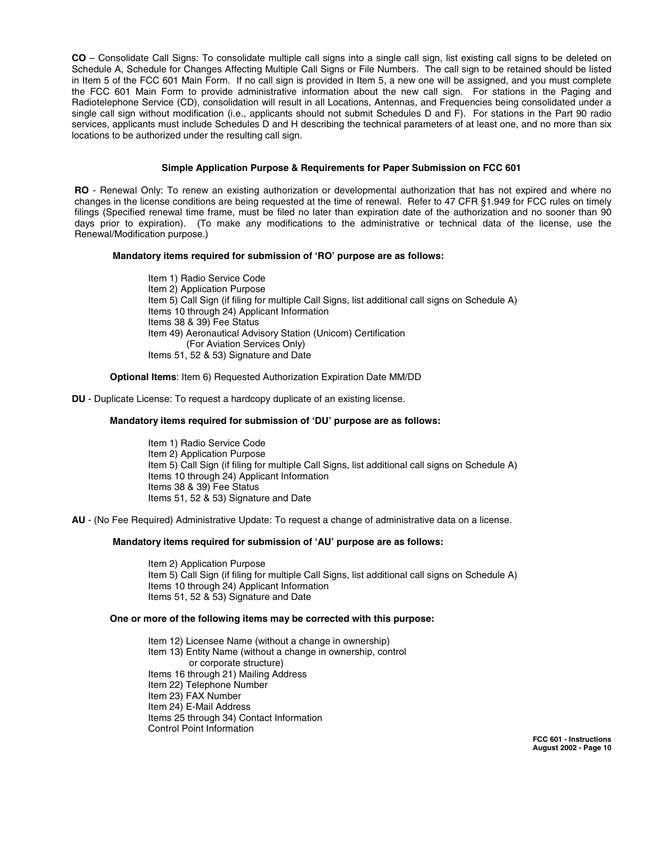**CO** – Consolidate Call Signs: To consolidate multiple call signs into a single call sign, list existing call signs to be deleted on Schedule A, Schedule for Changes Affecting Multiple Call Signs or File Numbers. The call sign to be retained should be listed in Item 5 of the FCC 601 Main Form. If no call sign is provided in Item 5, a new one will be assigned, and you must complete the FCC 601 Main Form to provide administrative information about the new call sign. For stations in the Paging and Radiotelephone Service (CD), consolidation will result in all Locations, Antennas, and Frequencies being consolidated under a single call sign without modification (i.e., applicants should not submit Schedules D and F). For stations in the Part 90 radio services, applicants must include Schedules D and H describing the technical parameters of at least one, and no more than six locations to be authorized under the resulting call sign.

#### **Simple Application Purpose & Requirements for Paper Submission on FCC 601**

**RO** - Renewal Only: To renew an existing authorization or developmental authorization that has not expired and where no changes in the license conditions are being requested at the time of renewal. Refer to 47 CFR §1.949 for FCC rules on timely filings (Specified renewal time frame, must be filed no later than expiration date of the authorization and no sooner than 90 days prior to expiration). (To make any modifications to the administrative or technical data of the license, use the Renewal/Modification purpose.)

#### **Mandatory items required for submission of 'RO' purpose are as follows:**

Item 1) Radio Service Code Item 2) Application Purpose Item 5) Call Sign (if filing for multiple Call Signs, list additional call signs on Schedule A) Items 10 through 24) Applicant Information Items 38 & 39) Fee Status Item 49) Aeronautical Advisory Station (Unicom) Certification (For Aviation Services Only) Items 51, 52 & 53) Signature and Date

#### **Optional Items**: Item 6) Requested Authorization Expiration Date MM/DD

#### **DU** - Duplicate License: To request a hardcopy duplicate of an existing license.

#### **Mandatory items required for submission of 'DU' purpose are as follows:**

Item 1) Radio Service Code Item 2) Application Purpose Item 5) Call Sign (if filing for multiple Call Signs, list additional call signs on Schedule A) Items 10 through 24) Applicant Information Items 38 & 39) Fee Status Items 51, 52 & 53) Signature and Date

**AU** - (No Fee Required) Administrative Update: To request a change of administrative data on a license.

#### **Mandatory items required for submission of 'AU' purpose are as follows:**

Item 2) Application Purpose Item 5) Call Sign (if filing for multiple Call Signs, list additional call signs on Schedule A) Items 10 through 24) Applicant Information Items 51, 52 & 53) Signature and Date

#### **One or more of the following items may be corrected with this purpose:**

Item 12) Licensee Name (without a change in ownership) Item 13) Entity Name (without a change in ownership, control or corporate structure) Items 16 through 21) Mailing Address Item 22) Telephone Number Item 23) FAX Number Item 24) E-Mail Address Items 25 through 34) Contact Information Control Point Information

> **FCC 601 - Instructions August 2002 - Page 10**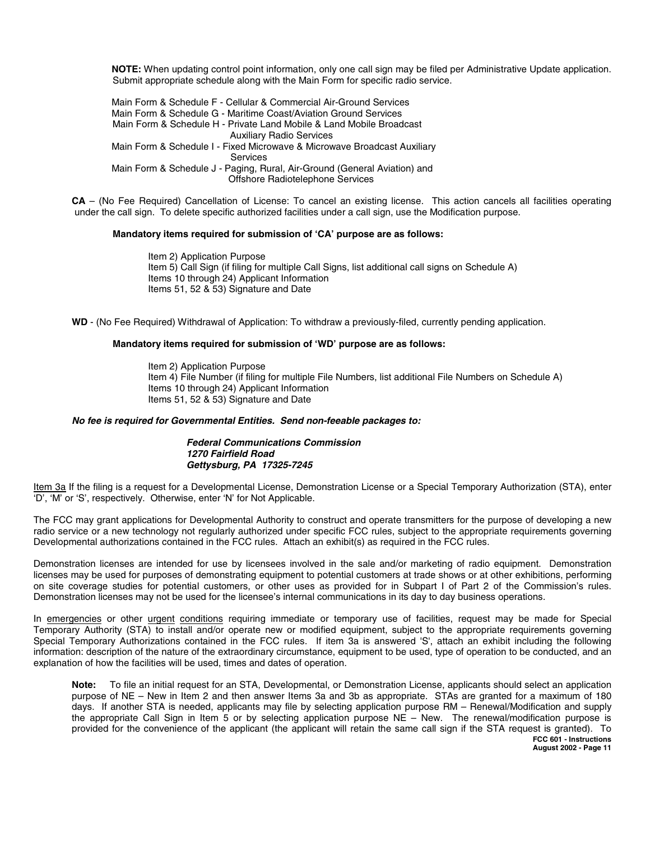**NOTE:** When updating control point information, only one call sign may be filed per Administrative Update application. Submit appropriate schedule along with the Main Form for specific radio service.

Main Form & Schedule F - Cellular & Commercial Air-Ground Services Main Form & Schedule G - Maritime Coast/Aviation Ground Services Main Form & Schedule H - Private Land Mobile & Land Mobile Broadcast Auxiliary Radio Services Main Form & Schedule I - Fixed Microwave & Microwave Broadcast Auxiliary **Services** Main Form & Schedule J - Paging, Rural, Air-Ground (General Aviation) and Offshore Radiotelephone Services

**CA** – (No Fee Required) Cancellation of License: To cancel an existing license. This action cancels all facilities operating under the call sign. To delete specific authorized facilities under a call sign, use the Modification purpose.

#### **Mandatory items required for submission of 'CA' purpose are as follows:**

Item 2) Application Purpose Item 5) Call Sign (if filing for multiple Call Signs, list additional call signs on Schedule A) Items 10 through 24) Applicant Information Items 51, 52 & 53) Signature and Date

**WD** - (No Fee Required) Withdrawal of Application: To withdraw a previously-filed, currently pending application.

#### **Mandatory items required for submission of 'WD' purpose are as follows:**

Item 2) Application Purpose Item 4) File Number (if filing for multiple File Numbers, list additional File Numbers on Schedule A) Items 10 through 24) Applicant Information Items 51, 52 & 53) Signature and Date

#### **No fee is required for Governmental Entities. Send non-feeable packages to:**

#### **Federal Communications Commission 1270 Fairfield Road Gettysburg, PA 17325-7245**

Item 3a If the filing is a request for a Developmental License, Demonstration License or a Special Temporary Authorization (STA), enter 'D', 'M' or 'S', respectively. Otherwise, enter 'N' for Not Applicable.

The FCC may grant applications for Developmental Authority to construct and operate transmitters for the purpose of developing a new radio service or a new technology not regularly authorized under specific FCC rules, subject to the appropriate requirements governing Developmental authorizations contained in the FCC rules. Attach an exhibit(s) as required in the FCC rules.

Demonstration licenses are intended for use by licensees involved in the sale and/or marketing of radio equipment. Demonstration licenses may be used for purposes of demonstrating equipment to potential customers at trade shows or at other exhibitions, performing on site coverage studies for potential customers, or other uses as provided for in Subpart I of Part 2 of the Commission's rules. Demonstration licenses may not be used for the licensee's internal communications in its day to day business operations.

In emergencies or other urgent conditions requiring immediate or temporary use of facilities, request may be made for Special Temporary Authority (STA) to install and/or operate new or modified equipment, subject to the appropriate requirements governing Special Temporary Authorizations contained in the FCC rules. If item 3a is answered 'S', attach an exhibit including the following information: description of the nature of the extraordinary circumstance, equipment to be used, type of operation to be conducted, and an explanation of how the facilities will be used, times and dates of operation.

**FCC 601 - Instructions Note:** To file an initial request for an STA, Developmental, or Demonstration License, applicants should select an application purpose of NE – New in Item 2 and then answer Items 3a and 3b as appropriate. STAs are granted for a maximum of 180 days. If another STA is needed, applicants may file by selecting application purpose RM – Renewal/Modification and supply the appropriate Call Sign in Item 5 or by selecting application purpose NE – New. The renewal/modification purpose is provided for the convenience of the applicant (the applicant will retain the same call sign if the STA request is granted). To

**August 2002 - Page 11**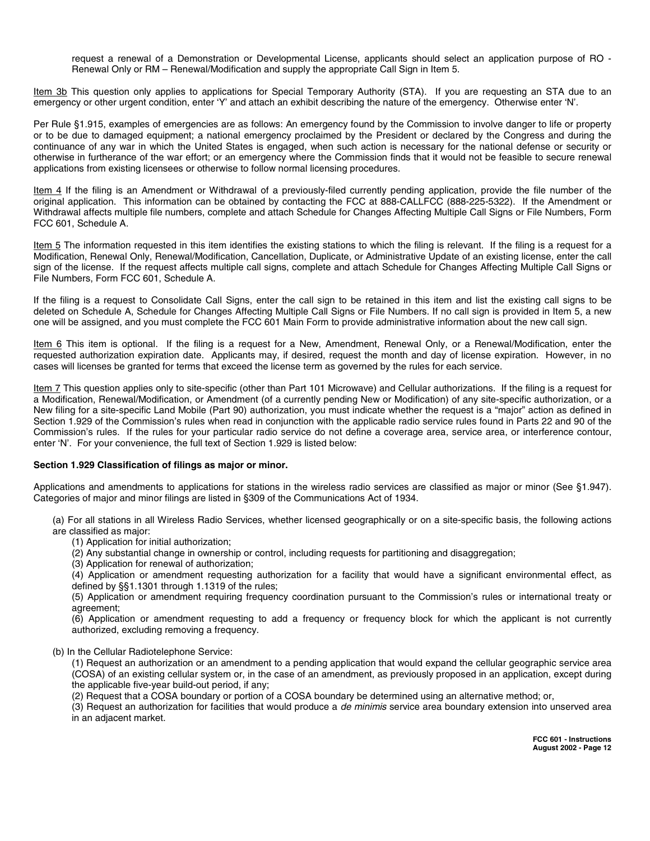request a renewal of a Demonstration or Developmental License, applicants should select an application purpose of RO - Renewal Only or RM – Renewal/Modification and supply the appropriate Call Sign in Item 5.

Item 3b This question only applies to applications for Special Temporary Authority (STA). If you are requesting an STA due to an emergency or other urgent condition, enter 'Y' and attach an exhibit describing the nature of the emergency. Otherwise enter 'N'.

Per Rule §1.915, examples of emergencies are as follows: An emergency found by the Commission to involve danger to life or property or to be due to damaged equipment; a national emergency proclaimed by the President or declared by the Congress and during the continuance of any war in which the United States is engaged, when such action is necessary for the national defense or security or otherwise in furtherance of the war effort; or an emergency where the Commission finds that it would not be feasible to secure renewal applications from existing licensees or otherwise to follow normal licensing procedures.

Item 4 If the filing is an Amendment or Withdrawal of a previously-filed currently pending application, provide the file number of the original application. This information can be obtained by contacting the FCC at 888-CALLFCC (888-225-5322). If the Amendment or Withdrawal affects multiple file numbers, complete and attach Schedule for Changes Affecting Multiple Call Signs or File Numbers, Form FCC 601, Schedule A.

Item 5 The information requested in this item identifies the existing stations to which the filing is relevant. If the filing is a request for a Modification, Renewal Only, Renewal/Modification, Cancellation, Duplicate, or Administrative Update of an existing license, enter the call sign of the license. If the request affects multiple call signs, complete and attach Schedule for Changes Affecting Multiple Call Signs or File Numbers, Form FCC 601, Schedule A.

If the filing is a request to Consolidate Call Signs, enter the call sign to be retained in this item and list the existing call signs to be deleted on Schedule A, Schedule for Changes Affecting Multiple Call Signs or File Numbers. If no call sign is provided in Item 5, a new one will be assigned, and you must complete the FCC 601 Main Form to provide administrative information about the new call sign.

Item 6 This item is optional. If the filing is a request for a New, Amendment, Renewal Only, or a Renewal/Modification, enter the requested authorization expiration date. Applicants may, if desired, request the month and day of license expiration. However, in no cases will licenses be granted for terms that exceed the license term as governed by the rules for each service.

Item 7 This question applies only to site-specific (other than Part 101 Microwave) and Cellular authorizations. If the filing is a request for a Modification, Renewal/Modification, or Amendment (of a currently pending New or Modification) of any site-specific authorization, or a New filing for a site-specific Land Mobile (Part 90) authorization, you must indicate whether the request is a "major" action as defined in Section 1.929 of the Commission's rules when read in conjunction with the applicable radio service rules found in Parts 22 and 90 of the Commission's rules. If the rules for your particular radio service do not define a coverage area, service area, or interference contour, enter 'N'. For your convenience, the full text of Section 1.929 is listed below:

# **Section 1.929 Classification of filings as major or minor.**

Applications and amendments to applications for stations in the wireless radio services are classified as major or minor (See §1.947). Categories of major and minor filings are listed in §309 of the Communications Act of 1934.

(a) For all stations in all Wireless Radio Services, whether licensed geographically or on a site-specific basis, the following actions are classified as major:

(1) Application for initial authorization;

(2) Any substantial change in ownership or control, including requests for partitioning and disaggregation;

(3) Application for renewal of authorization;

(4) Application or amendment requesting authorization for a facility that would have a significant environmental effect, as defined by §§1.1301 through 1.1319 of the rules;

(5) Application or amendment requiring frequency coordination pursuant to the Commission's rules or international treaty or agreement;

(6) Application or amendment requesting to add a frequency or frequency block for which the applicant is not currently authorized, excluding removing a frequency.

#### (b) In the Cellular Radiotelephone Service:

(1) Request an authorization or an amendment to a pending application that would expand the cellular geographic service area (COSA) of an existing cellular system or, in the case of an amendment, as previously proposed in an application, except during the applicable five-year build-out period, if any;

(2) Request that a COSA boundary or portion of a COSA boundary be determined using an alternative method; or,

(3) Request an authorization for facilities that would produce a de minimis service area boundary extension into unserved area in an adjacent market.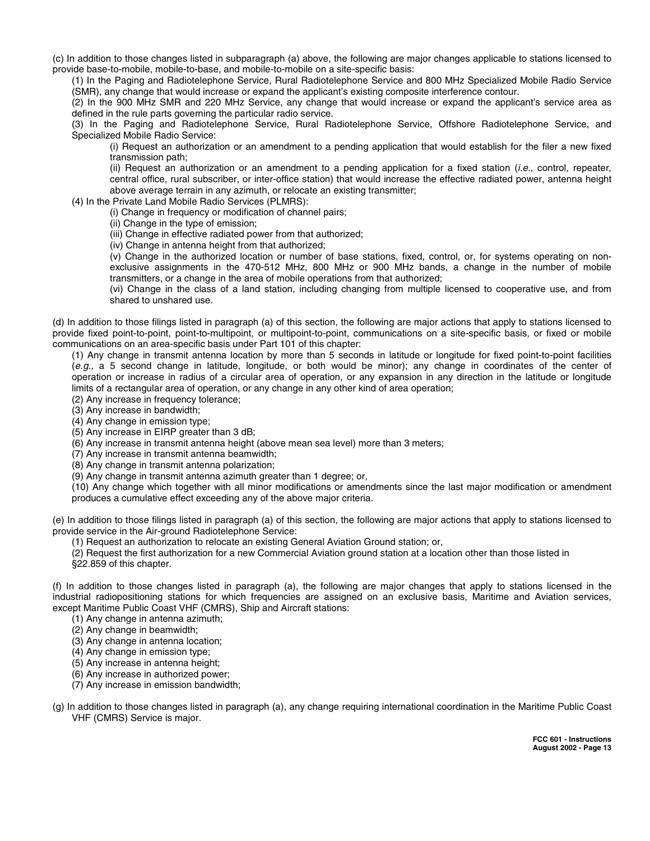(c) In addition to those changes listed in subparagraph (a) above, the following are major changes applicable to stations licensed to provide base-to-mobile, mobile-to-base, and mobile-to-mobile on a site-specific basis:

(1) In the Paging and Radiotelephone Service, Rural Radiotelephone Service and 800 MHz Specialized Mobile Radio Service (SMR), any change that would increase or expand the applicant's existing composite interference contour.

(2) In the 900 MHz SMR and 220 MHz Service, any change that would increase or expand the applicant's service area as defined in the rule parts governing the particular radio service.

(3) In the Paging and Radiotelephone Service, Rural Radiotelephone Service, Offshore Radiotelephone Service, and Specialized Mobile Radio Service:

(i) Request an authorization or an amendment to a pending application that would establish for the filer a new fixed transmission path;

(ii) Request an authorization or an amendment to a pending application for a fixed station (*i.e.*, control, repeater, central office, rural subscriber, or inter-office station) that would increase the effective radiated power, antenna height above average terrain in any azimuth, or relocate an existing transmitter;

(4) In the Private Land Mobile Radio Services (PLMRS):

(i) Change in frequency or modification of channel pairs;

(ii) Change in the type of emission;

(iii) Change in effective radiated power from that authorized;

(iv) Change in antenna height from that authorized;

(v) Change in the authorized location or number of base stations, fixed, control, or, for systems operating on nonexclusive assignments in the 470-512 MHz, 800 MHz or 900 MHz bands, a change in the number of mobile transmitters, or a change in the area of mobile operations from that authorized;

(vi) Change in the class of a land station, including changing from multiple licensed to cooperative use, and from shared to unshared use.

(d) In addition to those filings listed in paragraph (a) of this section, the following are major actions that apply to stations licensed to provide fixed point-to-point, point-to-multipoint, or multipoint-to-point, communications on a site-specific basis, or fixed or mobile communications on an area-specific basis under Part 101 of this chapter:

(1) Any change in transmit antenna location by more than 5 seconds in latitude or longitude for fixed point-to-point facilities (e.g., a 5 second change in latitude, longitude, or both would be minor); any change in coordinates of the center of operation or increase in radius of a circular area of operation, or any expansion in any direction in the latitude or longitude limits of a rectangular area of operation, or any change in any other kind of area operation;

(2) Any increase in frequency tolerance;

(3) Any increase in bandwidth;

(4) Any change in emission type;

(5) Any increase in EIRP greater than 3 dB;

(6) Any increase in transmit antenna height (above mean sea level) more than 3 meters;

(7) Any increase in transmit antenna beamwidth;

(8) Any change in transmit antenna polarization;

(9) Any change in transmit antenna azimuth greater than 1 degree; or,

(10) Any change which together with all minor modifications or amendments since the last major modification or amendment produces a cumulative effect exceeding any of the above major criteria.

(e) In addition to those filings listed in paragraph (a) of this section, the following are major actions that apply to stations licensed to provide service in the Air-ground Radiotelephone Service:

(1) Request an authorization to relocate an existing General Aviation Ground station; or,

(2) Request the first authorization for a new Commercial Aviation ground station at a location other than those listed in §22.859 of this chapter.

(f) In addition to those changes listed in paragraph (a), the following are major changes that apply to stations licensed in the industrial radiopositioning stations for which frequencies are assigned on an exclusive basis, Maritime and Aviation services, except Maritime Public Coast VHF (CMRS), Ship and Aircraft stations:

- (1) Any change in antenna azimuth;
- (2) Any change in beamwidth;
- (3) Any change in antenna location;
- (4) Any change in emission type;
- (5) Any increase in antenna height;
- (6) Any increase in authorized power;
- (7) Any increase in emission bandwidth;
- (g) In addition to those changes listed in paragraph (a), any change requiring international coordination in the Maritime Public Coast VHF (CMRS) Service is major.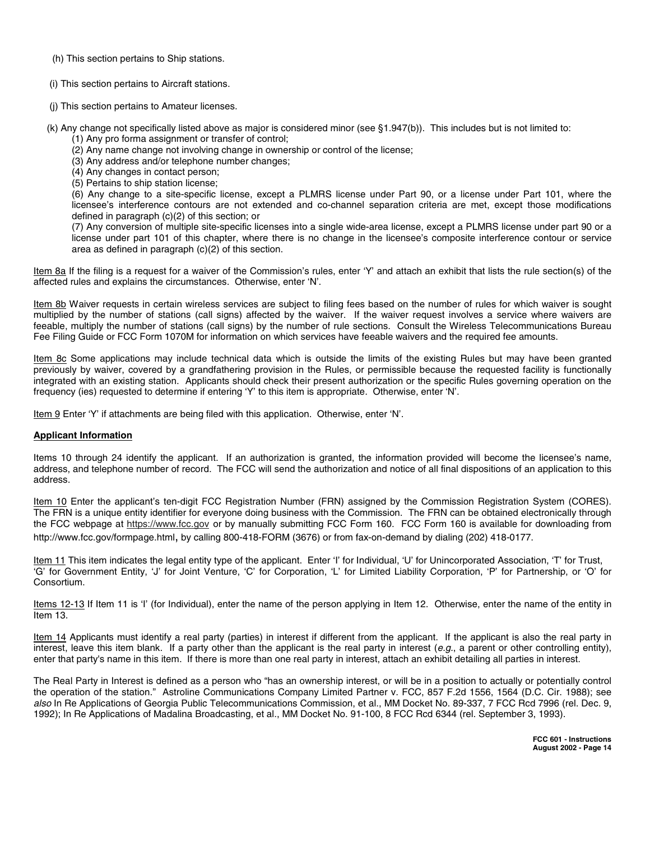(h) This section pertains to Ship stations.

(i) This section pertains to Aircraft stations.

(j) This section pertains to Amateur licenses.

(k) Any change not specifically listed above as major is considered minor (see §1.947(b)). This includes but is not limited to: (1) Any pro forma assignment or transfer of control;

- (2) Any name change not involving change in ownership or control of the license;
- (3) Any address and/or telephone number changes;
- (4) Any changes in contact person;
- (5) Pertains to ship station license;

(6) Any change to a site-specific license, except a PLMRS license under Part 90, or a license under Part 101, where the licensee's interference contours are not extended and co-channel separation criteria are met, except those modifications defined in paragraph (c)(2) of this section; or

(7) Any conversion of multiple site-specific licenses into a single wide-area license, except a PLMRS license under part 90 or a license under part 101 of this chapter, where there is no change in the licensee's composite interference contour or service area as defined in paragraph (c)(2) of this section.

Item 8a If the filing is a request for a waiver of the Commission's rules, enter 'Y' and attach an exhibit that lists the rule section(s) of the affected rules and explains the circumstances. Otherwise, enter 'N'.

Item 8b Waiver requests in certain wireless services are subject to filing fees based on the number of rules for which waiver is sought multiplied by the number of stations (call signs) affected by the waiver. If the waiver request involves a service where waivers are feeable, multiply the number of stations (call signs) by the number of rule sections. Consult the Wireless Telecommunications Bureau Fee Filing Guide or FCC Form 1070M for information on which services have feeable waivers and the required fee amounts.

Item 8c Some applications may include technical data which is outside the limits of the existing Rules but may have been granted previously by waiver, covered by a grandfathering provision in the Rules, or permissible because the requested facility is functionally integrated with an existing station. Applicants should check their present authorization or the specific Rules governing operation on the frequency (ies) requested to determine if entering 'Y' to this item is appropriate. Otherwise, enter 'N'.

Item 9 Enter 'Y' if attachments are being filed with this application. Otherwise, enter 'N'.

# **Applicant Information**

Items 10 through 24 identify the applicant. If an authorization is granted, the information provided will become the licensee's name, address, and telephone number of record. The FCC will send the authorization and notice of all final dispositions of an application to this address.

Item 10 Enter the applicant's ten-digit FCC Registration Number (FRN) assigned by the Commission Registration System (CORES). The FRN is a unique entity identifier for everyone doing business with the Commission. The FRN can be obtained electronically through the FCC webpage at https://www.fcc.gov or by manually submitting FCC Form 160. FCC Form 160 is available for downloading from http://www.fcc.gov/formpage.html, by calling 800-418-FORM (3676) or from fax-on-demand by dialing (202) 418-0177.

Item 11 This item indicates the legal entity type of the applicant. Enter 'I' for Individual, 'U' for Unincorporated Association, 'T' for Trust, 'G' for Government Entity, 'J' for Joint Venture, 'C' for Corporation, 'L' for Limited Liability Corporation, 'P' for Partnership, or 'O' for Consortium.

Items 12-13 If Item 11 is 'I' (for Individual), enter the name of the person applying in Item 12. Otherwise, enter the name of the entity in Item 13.

Item 14 Applicants must identify a real party (parties) in interest if different from the applicant. If the applicant is also the real party in interest, leave this item blank. If a party other than the applicant is the real party in interest (e.g., a parent or other controlling entity), enter that party's name in this item. If there is more than one real party in interest, attach an exhibit detailing all parties in interest.

The Real Party in Interest is defined as a person who "has an ownership interest, or will be in a position to actually or potentially control the operation of the station." Astroline Communications Company Limited Partner v. FCC, 857 F.2d 1556, 1564 (D.C. Cir. 1988); see also In Re Applications of Georgia Public Telecommunications Commission, et al., MM Docket No. 89-337, 7 FCC Rcd 7996 (rel. Dec. 9, 1992); In Re Applications of Madalina Broadcasting, et al., MM Docket No. 91-100, 8 FCC Rcd 6344 (rel. September 3, 1993).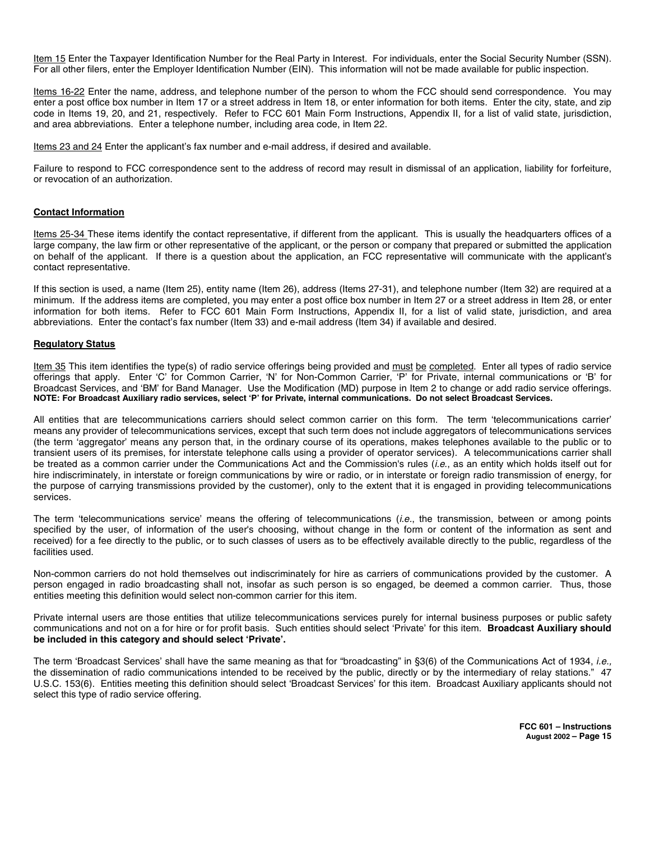Item 15 Enter the Taxpayer Identification Number for the Real Party in Interest. For individuals, enter the Social Security Number (SSN). For all other filers, enter the Employer Identification Number (EIN). This information will not be made available for public inspection.

Items 16-22 Enter the name, address, and telephone number of the person to whom the FCC should send correspondence. You may enter a post office box number in Item 17 or a street address in Item 18, or enter information for both items. Enter the city, state, and zip code in Items 19, 20, and 21, respectively. Refer to FCC 601 Main Form Instructions, Appendix II, for a list of valid state, jurisdiction, and area abbreviations. Enter a telephone number, including area code, in Item 22.

Items 23 and 24 Enter the applicant's fax number and e-mail address, if desired and available.

Failure to respond to FCC correspondence sent to the address of record may result in dismissal of an application, liability for forfeiture, or revocation of an authorization.

#### **Contact Information**

Items 25-34 These items identify the contact representative, if different from the applicant. This is usually the headquarters offices of a large company, the law firm or other representative of the applicant, or the person or company that prepared or submitted the application on behalf of the applicant. If there is a question about the application, an FCC representative will communicate with the applicant's contact representative.

If this section is used, a name (Item 25), entity name (Item 26), address (Items 27-31), and telephone number (Item 32) are required at a minimum. If the address items are completed, you may enter a post office box number in Item 27 or a street address in Item 28, or enter information for both items. Refer to FCC 601 Main Form Instructions, Appendix II, for a list of valid state, jurisdiction, and area abbreviations. Enter the contact's fax number (Item 33) and e-mail address (Item 34) if available and desired.

#### **Regulatory Status**

Item 35 This item identifies the type(s) of radio service offerings being provided and must be completed. Enter all types of radio service offerings that apply. Enter 'C' for Common Carrier, 'N' for Non-Common Carrier, 'P' for Private, internal communications or 'B' for Broadcast Services, and 'BM' for Band Manager. Use the Modification (MD) purpose in Item 2 to change or add radio service offerings. **NOTE: For Broadcast Auxiliary radio services, select 'P' for Private, internal communications. Do not select Broadcast Services.**

All entities that are telecommunications carriers should select common carrier on this form. The term 'telecommunications carrier' means any provider of telecommunications services, except that such term does not include aggregators of telecommunications services (the term 'aggregator' means any person that, in the ordinary course of its operations, makes telephones available to the public or to transient users of its premises, for interstate telephone calls using a provider of operator services). A telecommunications carrier shall be treated as a common carrier under the Communications Act and the Commission's rules (i.e., as an entity which holds itself out for hire indiscriminately, in interstate or foreign communications by wire or radio, or in interstate or foreign radio transmission of energy, for the purpose of carrying transmissions provided by the customer), only to the extent that it is engaged in providing telecommunications services.

The term 'telecommunications service' means the offering of telecommunications (i.e., the transmission, between or among points specified by the user, of information of the user's choosing, without change in the form or content of the information as sent and received) for a fee directly to the public, or to such classes of users as to be effectively available directly to the public, regardless of the facilities used.

Non-common carriers do not hold themselves out indiscriminately for hire as carriers of communications provided by the customer. A person engaged in radio broadcasting shall not, insofar as such person is so engaged, be deemed a common carrier. Thus, those entities meeting this definition would select non-common carrier for this item.

Private internal users are those entities that utilize telecommunications services purely for internal business purposes or public safety communications and not on a for hire or for profit basis. Such entities should select 'Private' for this item. **Broadcast Auxiliary should be included in this category and should select 'Private'.**

The term 'Broadcast Services' shall have the same meaning as that for "broadcasting" in §3(6) of the Communications Act of 1934, i.e., the dissemination of radio communications intended to be received by the public, directly or by the intermediary of relay stations." 47 U.S.C. 153(6). Entities meeting this definition should select 'Broadcast Services' for this item. Broadcast Auxiliary applicants should not select this type of radio service offering.

> **FCC 601 – Instructions August 2002 – Page 15**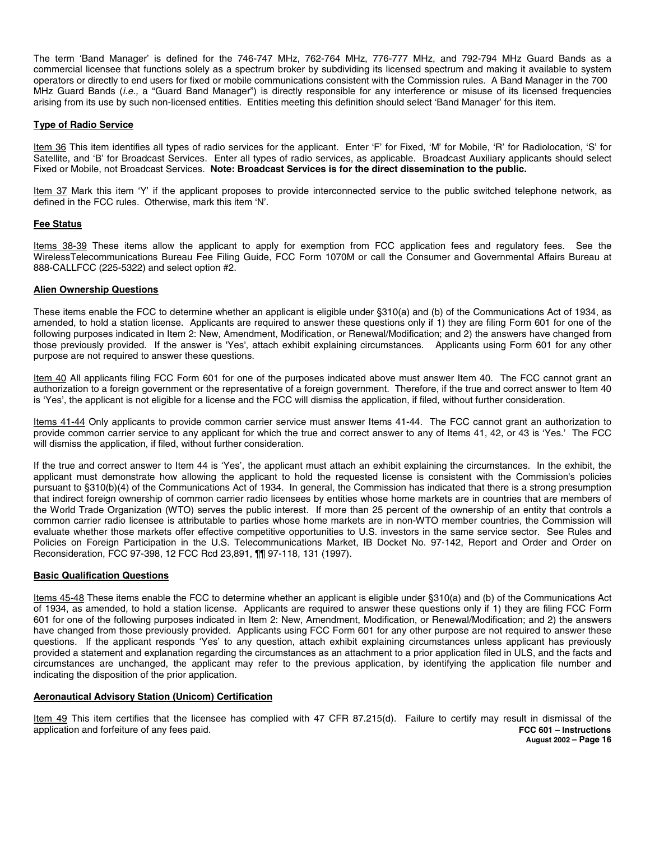The term 'Band Manager' is defined for the 746-747 MHz, 762-764 MHz, 776-777 MHz, and 792-794 MHz Guard Bands as a commercial licensee that functions solely as a spectrum broker by subdividing its licensed spectrum and making it available to system operators or directly to end users for fixed or mobile communications consistent with the Commission rules. A Band Manager in the 700 MHz Guard Bands (i.e., a "Guard Band Manager") is directly responsible for any interference or misuse of its licensed frequencies arising from its use by such non-licensed entities. Entities meeting this definition should select 'Band Manager' for this item.

# **Type of Radio Service**

Item 36 This item identifies all types of radio services for the applicant. Enter 'F' for Fixed, 'M' for Mobile, 'R' for Radiolocation, 'S' for Satellite, and 'B' for Broadcast Services. Enter all types of radio services, as applicable. Broadcast Auxiliary applicants should select Fixed or Mobile, not Broadcast Services. **Note: Broadcast Services is for the direct dissemination to the public.**

Item 37 Mark this item 'Y' if the applicant proposes to provide interconnected service to the public switched telephone network, as defined in the FCC rules. Otherwise, mark this item 'N'.

# **Fee Status**

Items 38-39 These items allow the applicant to apply for exemption from FCC application fees and regulatory fees. See the WirelessTelecommunications Bureau Fee Filing Guide, FCC Form 1070M or call the Consumer and Governmental Affairs Bureau at 888-CALLFCC (225-5322) and select option #2.

# **Alien Ownership Questions**

These items enable the FCC to determine whether an applicant is eligible under §310(a) and (b) of the Communications Act of 1934, as amended, to hold a station license. Applicants are required to answer these questions only if 1) they are filing Form 601 for one of the following purposes indicated in Item 2: New, Amendment, Modification, or Renewal/Modification; and 2) the answers have changed from those previously provided. If the answer is 'Yes', attach exhibit explaining circumstances. Applicants using Form 601 for any other purpose are not required to answer these questions.

Item 40 All applicants filing FCC Form 601 for one of the purposes indicated above must answer Item 40. The FCC cannot grant an authorization to a foreign government or the representative of a foreign government. Therefore, if the true and correct answer to Item 40 is 'Yes', the applicant is not eligible for a license and the FCC will dismiss the application, if filed, without further consideration.

Items 41-44 Only applicants to provide common carrier service must answer Items 41-44. The FCC cannot grant an authorization to provide common carrier service to any applicant for which the true and correct answer to any of Items 41, 42, or 43 is 'Yes.' The FCC will dismiss the application, if filed, without further consideration.

If the true and correct answer to Item 44 is 'Yes', the applicant must attach an exhibit explaining the circumstances. In the exhibit, the applicant must demonstrate how allowing the applicant to hold the requested license is consistent with the Commission's policies pursuant to §310(b)(4) of the Communications Act of 1934. In general, the Commission has indicated that there is a strong presumption that indirect foreign ownership of common carrier radio licensees by entities whose home markets are in countries that are members of the World Trade Organization (WTO) serves the public interest. If more than 25 percent of the ownership of an entity that controls a common carrier radio licensee is attributable to parties whose home markets are in non-WTO member countries, the Commission will evaluate whether those markets offer effective competitive opportunities to U.S. investors in the same service sector. See Rules and Policies on Foreign Participation in the U.S. Telecommunications Market, IB Docket No. 97-142, Report and Order and Order on Reconsideration, FCC 97-398, 12 FCC Rcd 23,891, ¶¶ 97-118, 131 (1997).

# **Basic Qualification Questions**

Items 45-48 These items enable the FCC to determine whether an applicant is eligible under §310(a) and (b) of the Communications Act of 1934, as amended, to hold a station license. Applicants are required to answer these questions only if 1) they are filing FCC Form 601 for one of the following purposes indicated in Item 2: New, Amendment, Modification, or Renewal/Modification; and 2) the answers have changed from those previously provided. Applicants using FCC Form 601 for any other purpose are not required to answer these questions. If the applicant responds 'Yes' to any question, attach exhibit explaining circumstances unless applicant has previously provided a statement and explanation regarding the circumstances as an attachment to a prior application filed in ULS, and the facts and circumstances are unchanged, the applicant may refer to the previous application, by identifying the application file number and indicating the disposition of the prior application.

# **Aeronautical Advisory Station (Unicom) Certification**

Item 49 This item certifies that the licensee has complied with 47 CFR 87.215(d). Failure to certify may result in dismissal of the application and forfeiture of any fees paid. application and forfeiture of any fees paid.

**August 2002 – Page 16**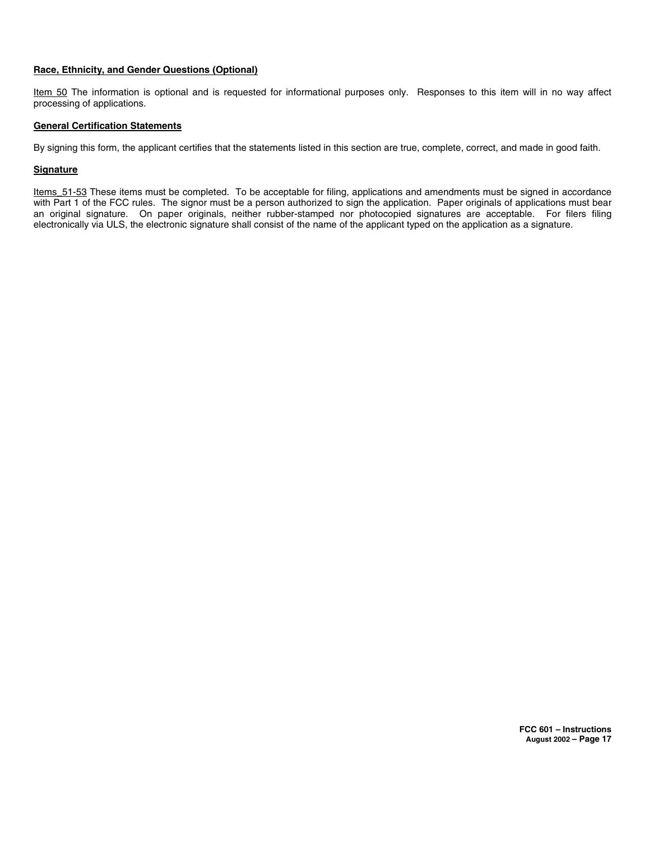# **Race, Ethnicity, and Gender Questions (Optional)**

Item 50 The information is optional and is requested for informational purposes only. Responses to this item will in no way affect processing of applications.

# **General Certification Statements**

By signing this form, the applicant certifies that the statements listed in this section are true, complete, correct, and made in good faith.

# **Signature**

Items\_51-53 These items must be completed. To be acceptable for filing, applications and amendments must be signed in accordance with Part 1 of the FCC rules. The signor must be a person authorized to sign the application. Paper originals of applications must bear an original signature. On paper originals, neither rubber-stamped nor photocopied signatures are acceptable. For filers filing electronically via ULS, the electronic signature shall consist of the name of the applicant typed on the application as a signature.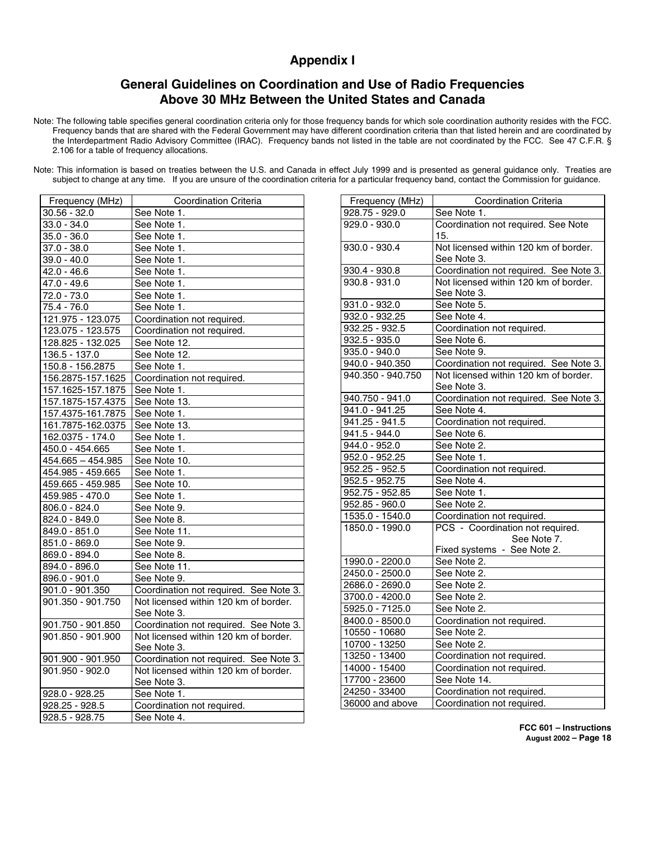# **Appendix I**

# **General Guidelines on Coordination and Use of Radio Frequencies Above 30 MHz Between the United States and Canada**

Note: The following table specifies general coordination criteria only for those frequency bands for which sole coordination authority resides with the FCC. Frequency bands that are shared with the Federal Government may have different coordination criteria than that listed herein and are coordinated by the Interdepartment Radio Advisory Committee (IRAC). Frequency bands not listed in the table are not coordinated by the FCC. See 47 C.F.R. § 2.106 for a table of frequency allocations.

Note: This information is based on treaties between the U.S. and Canada in effect July 1999 and is presented as general guidance only. Treaties are subject to change at any time. If you are unsure of the coordination criteria for a particular frequency band, contact the Commission for guidance.

| Frequency (MHz)          | Coordination Criteria                  |
|--------------------------|----------------------------------------|
| $30.56 - 32.0$           | See Note 1.                            |
| $33.0 - 34.0$            | See Note 1.                            |
| $35.0 - 36.0$            | See Note 1.                            |
| $\overline{37.0}$ - 38.0 | See Note 1.                            |
| $39.0 - 40.0$            | See Note 1.                            |
| 42.0 - 46.6              | See Note 1.                            |
| $47.0 - 49.6$            | See Note 1.                            |
| 72.0 - 73.0              | See Note 1.                            |
| $75.4 - 76.0$            | See Note 1.                            |
| 121.975 - 123.075        | Coordination not required.             |
| 123.075 - 123.575        | Coordination not required.             |
| 128.825 - 132.025        | See Note 12.                           |
| $136.5 - 137.0$          | See Note 12.                           |
| 150.8 - 156.2875         | See Note 1.                            |
| 156.2875-157.1625        | Coordination not required.             |
| 157.1625-157.1875        | See Note 1.                            |
| 157.1875-157.4375        | See Note 13.                           |
| 157.4375-161.7875        | See Note 1.                            |
| 161.7875-162.0375        | See Note 13.                           |
| 162.0375 - 174.0         | See Note 1.                            |
| 450.0 - 454.665          | See Note 1.                            |
| $454.665 - 454.985$      | See Note 10.                           |
| 454.985 - 459.665        | See Note 1.                            |
| 459.665 - 459.985        | See Note 10.                           |
| 459.985 - 470.0          | See Note 1.                            |
| 806.0 - 824.0            | See Note 9.                            |
| 824.0 - 849.0            | See Note 8.                            |
| 849.0 - 851.0            | See Note 11.                           |
| $851.0 - 869.0$          | See Note 9.                            |
| 869.0 - 894.0            | See Note 8.                            |
| 894.0 - 896.0            | See Note 11.                           |
| 896.0 - 901.0            | See Note 9.                            |
| 901.0 - 901.350          | Coordination not required. See Note 3. |
| 901.350 - 901.750        | Not licensed within 120 km of border.  |
|                          | See Note 3.                            |
| 901.750 - 901.850        | Coordination not required. See Note 3. |
| 901.850 - 901.900        | Not licensed within 120 km of border.  |
|                          | See Note 3.                            |
| 901.900 - 901.950        | Coordination not required. See Note 3. |
| 901.950 - 902.0          | Not licensed within 120 km of border.  |
|                          | See Note 3.                            |
| 928.0 - 928.25           | See Note 1.                            |
| $928.25 - 928.5$         | Coordination not required.             |
| $928.5 - 928.75$         | See Note 4.                            |

| Frequency (MHz)            | <b>Coordination Criteria</b>           |
|----------------------------|----------------------------------------|
| $928.75 - 929.0$           | See Note 1.                            |
| $929.0 - 930.0$            | Coordination not required. See Note    |
|                            | 15.                                    |
| $930.0 - 930.4$            | Not licensed within 120 km of border.  |
|                            | See Note 3.                            |
| $930.4 - 930.8$            | Coordination not required. See Note 3. |
| $930.8 - 931.0$            | Not licensed within 120 km of border.  |
|                            | See Note 3.                            |
| 931.0 - 932.0              | See Note 5.                            |
| 932.0 - 932.25             | See Note 4.                            |
| 932.25 - 932.5             | Coordination not required.             |
| $932.5 - 935.0$            | See Note 6.                            |
| 935.0 - 940.0              | See Note 9.                            |
| 940.0 - 940.350            | Coordination not required. See Note 3. |
| 940.350 - 940.750          | Not licensed within 120 km of border.  |
|                            | See Note 3.                            |
| 940.750 - 941.0            | Coordination not required. See Note 3. |
| 941.0 - 941.25             | See Note 4.                            |
| 941.25 - 941.5             | Coordination not required.             |
| $\overline{941.5}$ - 944.0 | See Note 6.                            |
| $944.0 - 952.0$            | See Note 2.                            |
| 952.0 - 952.25             | See Note 1.                            |
| 952.25 - 952.5             | Coordination not required.             |
| 952.5 - 952.75             | See Note 4.                            |
| 952.75 - 952.85            | See Note 1.                            |
| 952.85 - 960.0             | See Note 2.                            |
| 1535.0 - 1540.0            | Coordination not required.             |
| 1850.0 - 1990.0            | PCS - Coordination not required.       |
|                            | See Note 7.                            |
|                            | Fixed systems - See Note 2.            |
| 1990.0 - 2200.0            | See Note 2.                            |
| 2450.0 - 2500.0            | See Note 2.                            |
| 2686.0 - 2690.0            | See Note 2.                            |
| 3700.0 - 4200.0            | See Note 2.                            |
| 5925.0 - 7125.0            | See Note 2.                            |
| 8400.0 - 8500.0            | Coordination not required.             |
| 10550 - 10680              | See Note 2.                            |
| 10700 - 13250              | See Note 2.                            |
| 13250 - 13400              | Coordination not required.             |
| 14000 - 15400              | Coordination not required.             |
| 17700 - 23600              | See Note 14.                           |
| 24250 - 33400              | Coordination not required.             |
| 36000 and above            | Coordination not required.             |

**FCC 601 – Instructions August 2002 – Page 18**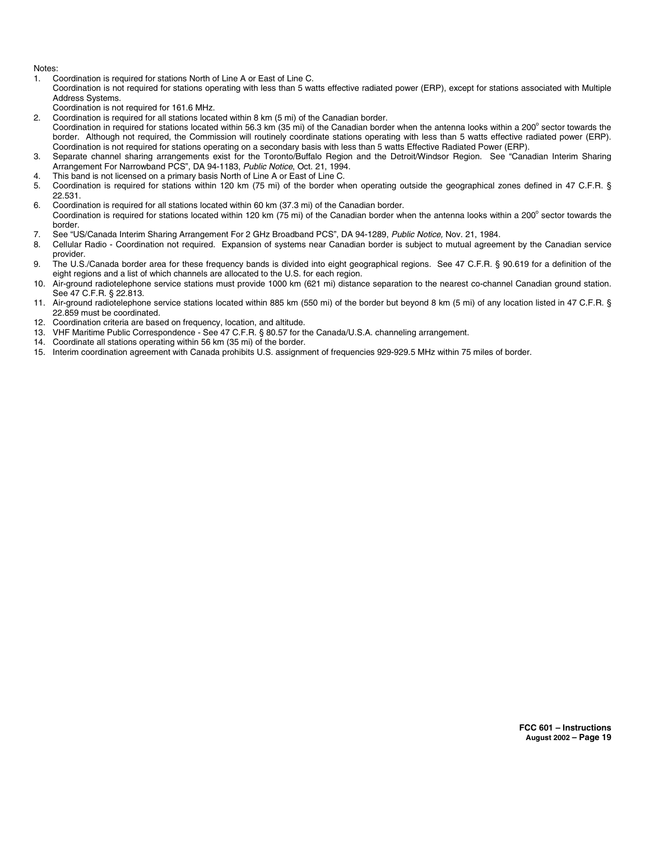Notes:

1. Coordination is required for stations North of Line A or East of Line C.

Coordination is not required for stations operating with less than 5 watts effective radiated power (ERP), except for stations associated with Multiple Address Systems.

- Coordination is not required for 161.6 MHz.
- 2. Coordination is required for all stations located within 8 km (5 mi) of the Canadian border.
- Coordination in required for stations located within 56.3 km (35 mi) of the Canadian border when the antenna looks within a 200° sector towards the border. Although not required, the Commission will routinely coordinate stations operating with less than 5 watts effective radiated power (ERP). Coordination is not required for stations operating on a secondary basis with less than 5 watts Effective Radiated Power (ERP).
- 3. Separate channel sharing arrangements exist for the Toronto/Buffalo Region and the Detroit/Windsor Region. See "Canadian Interim Sharing Arrangement For Narrowband PCS", DA 94-1183, Public Notice, Oct. 21, 1994.
- 4. This band is not licensed on a primary basis North of Line A or East of Line C.<br>5. Coordination is required for stations within 120 km (75 mi) of the border with
- 5. Coordination is required for stations within 120 km (75 mi) of the border when operating outside the geographical zones defined in 47 C.F.R. § 22.531.
- 6. Coordination is required for all stations located within 60 km (37.3 mi) of the Canadian border. Coordination is required for stations located within 120 km (75 mi) of the Canadian border when the antenna looks within a 200° sector towards the border.
- 7. See "US/Canada Interim Sharing Arrangement For 2 GHz Broadband PCS", DA 94-1289, Public Notice, Nov. 21, 1984.
- 8. Cellular Radio Coordination not required. Expansion of systems near Canadian border is subject to mutual agreement by the Canadian service provider.
- 9. The U.S./Canada border area for these frequency bands is divided into eight geographical regions. See 47 C.F.R. § 90.619 for a definition of the eight regions and a list of which channels are allocated to the U.S. for each region.
- 10. Air-ground radiotelephone service stations must provide 1000 km (621 mi) distance separation to the nearest co-channel Canadian ground station. See 47 C.F.R. § 22.813.
- 11. Air-ground radiotelephone service stations located within 885 km (550 mi) of the border but beyond 8 km (5 mi) of any location listed in 47 C.F.R. § 22.859 must be coordinated.
- 12. Coordination criteria are based on frequency, location, and altitude.
- 13. VHF Maritime Public Correspondence See 47 C.F.R. § 80.57 for the Canada/U.S.A. channeling arrangement.
- 14. Coordinate all stations operating within 56 km (35 mi) of the border.
- 15. Interim coordination agreement with Canada prohibits U.S. assignment of frequencies 929-929.5 MHz within 75 miles of border.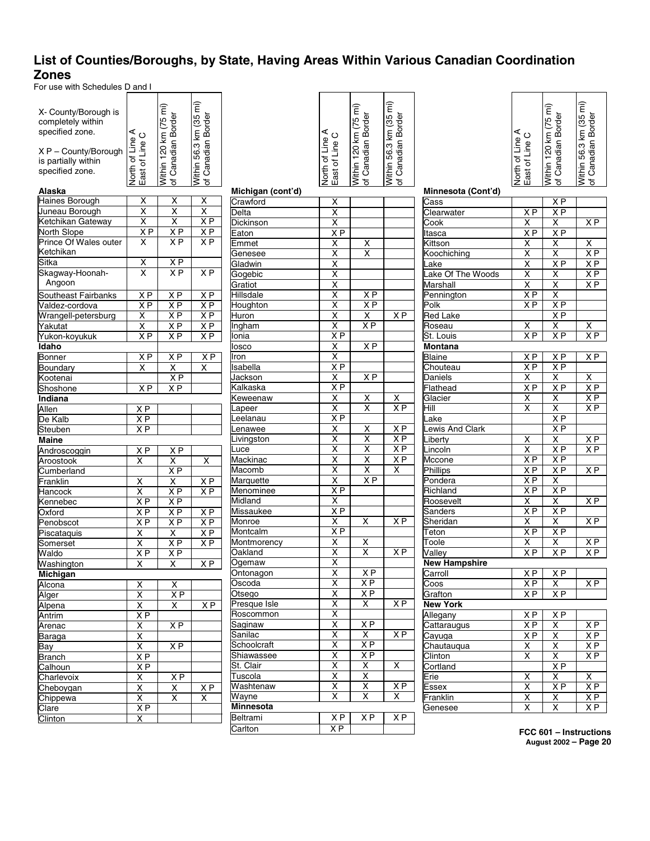# **List of Counties/Boroughs, by State, Having Areas Within Various Canadian Coordination Zones**

For use with Schedules D and I

| X- County/Borough is<br>completely within<br>specified zone.<br>X P - County/Borough<br>is partially within<br>specified zone.<br>Alaska | North of Line A<br>East of Line C   | Within 120 km (75 mi)<br>of Canadian Border | Nithin 56.3 km (35 mi)<br>of Canadian Border |
|------------------------------------------------------------------------------------------------------------------------------------------|-------------------------------------|---------------------------------------------|----------------------------------------------|
|                                                                                                                                          |                                     |                                             |                                              |
| Haines Borough<br>Juneau Borough                                                                                                         | X<br>$\overline{\mathsf{x}}$        | $\frac{\overline{x}}{\overline{x}}$         | X<br>χ                                       |
| Ketchikan Gateway                                                                                                                        | $\overline{\mathsf{x}}$             | $\overline{\mathsf{x}}$                     | ΧP                                           |
| North Slope                                                                                                                              | X P                                 | X P                                         | X P                                          |
| Prince Of Wales outer                                                                                                                    | $\overline{\mathsf{x}}$             | $\overline{X}P$                             | X <sub>P</sub>                               |
| Ketchikan                                                                                                                                |                                     |                                             |                                              |
| Sitka                                                                                                                                    |                                     |                                             |                                              |
|                                                                                                                                          | $\frac{\overline{x}}{\overline{x}}$ | <u>XP</u><br>X <sub>P</sub>                 | X <sub>P</sub>                               |
| Skagway-Hoonah-                                                                                                                          |                                     |                                             |                                              |
| Angoon                                                                                                                                   |                                     |                                             |                                              |
| Southeast Fairbanks                                                                                                                      | ΧP                                  | X <sub>P</sub>                              | $X \overline{P}$                             |
| Valdez-cordova                                                                                                                           | X P                                 | $X \overline{P}$                            | $X \overline{P}$                             |
| Wrangell-petersburg                                                                                                                      | $\overline{\mathsf{x}}$             | X P                                         | X P                                          |
| Yakutat                                                                                                                                  | $\overline{\mathsf{x}}$             | X P                                         | ΧP                                           |
| Yukon-koyukuk                                                                                                                            | $\overline{XP}$                     | ΧP                                          | X <sub>P</sub>                               |
| <b>Idaho</b>                                                                                                                             |                                     |                                             |                                              |
| <b>Bonner</b>                                                                                                                            | $\overline{XP}$                     | $\overline{XP}$                             | $\overline{XP}$                              |
| Boundary                                                                                                                                 | $\overline{\mathsf{x}}$             | Χ                                           | x                                            |
| Kootenai                                                                                                                                 |                                     | X <sub>P</sub>                              |                                              |
| Shoshone                                                                                                                                 | X P                                 | X <sub>P</sub>                              |                                              |
| Indiana                                                                                                                                  |                                     |                                             |                                              |
| Allen                                                                                                                                    | X P                                 |                                             |                                              |
| De Kalb                                                                                                                                  | X P                                 |                                             |                                              |
| Steuben                                                                                                                                  | ΧP                                  |                                             |                                              |
| Maine                                                                                                                                    |                                     |                                             |                                              |
| Androscoggin                                                                                                                             | X P                                 | $X \overline{P}$                            |                                              |
| Aroostook                                                                                                                                | $\overline{\mathsf{x}}$             | $\overline{\mathsf{x}}$                     | Χ                                            |
| Cumberland                                                                                                                               |                                     | X P                                         |                                              |
| Franklin                                                                                                                                 | X                                   | X                                           | $X \overline{P}$                             |
| Hancock                                                                                                                                  | X                                   | X P                                         | $X \overline{P}$                             |
| Kennebec                                                                                                                                 | X P                                 | ΧP                                          |                                              |
| Oxford                                                                                                                                   | X P<br>X P                          | X P<br>X P                                  | $X\overline{P}$                              |
| Penobscot                                                                                                                                |                                     |                                             | ХP                                           |
| Piscataquis                                                                                                                              | $\frac{X}{X}$                       | $\frac{X}{XP}$                              | X P                                          |
| Somerset                                                                                                                                 |                                     |                                             | X P                                          |
| Waldo                                                                                                                                    | X P                                 | $X \overline{P}$                            |                                              |
| Washington                                                                                                                               | $\overline{\mathsf{x}}$             | $\overline{\mathsf{x}}$                     | $\overline{XP}$                              |
| Michigan                                                                                                                                 |                                     |                                             |                                              |
| Alcona                                                                                                                                   | х                                   | х                                           |                                              |
| Alger                                                                                                                                    | X                                   | X P                                         |                                              |
| Alpena                                                                                                                                   | $\overline{\mathsf{x}}$             | X                                           | X <sub>P</sub>                               |
| Antrim                                                                                                                                   | X P<br>X                            |                                             |                                              |
| Arenac                                                                                                                                   |                                     | $X \overline{P}$                            |                                              |
| Baraga                                                                                                                                   | $\overline{\mathsf{x}}$             |                                             |                                              |
| Bay                                                                                                                                      | $\overline{\mathsf{x}}$             | $\overline{XP}$                             |                                              |
| Branch                                                                                                                                   | ΧP                                  |                                             |                                              |
| Calhoun                                                                                                                                  | X P<br>X                            |                                             |                                              |
| Charlevoix                                                                                                                               |                                     | X P                                         |                                              |
| Cheboygan                                                                                                                                | $\frac{\overline{x}}{\overline{x}}$ | Χ                                           | ΧP                                           |
| Chippewa                                                                                                                                 |                                     | X                                           | x                                            |
| Clare                                                                                                                                    | ΧP                                  |                                             |                                              |
| $\overline{\text{Clin}}$ ton                                                                                                             | Χ                                   |                                             |                                              |

|                             | North of Line A<br>East of Line C                                                      | Within 120 km (75 mi)<br>of Canadian Border                                         | Within 56.3 km (35 mi)<br>of Canadian Border |
|-----------------------------|----------------------------------------------------------------------------------------|-------------------------------------------------------------------------------------|----------------------------------------------|
| Michigan (cont'd)           |                                                                                        |                                                                                     |                                              |
| Crawford                    | $\begin{array}{c}\nX \\ X \\ X \\ X \\ Y \\ Y\n\end{array}$                            |                                                                                     |                                              |
| Delta                       |                                                                                        |                                                                                     |                                              |
| Dickinson                   |                                                                                        |                                                                                     |                                              |
| Eaton                       |                                                                                        |                                                                                     |                                              |
| Emmet                       |                                                                                        | $\frac{\overline{x}}{\overline{x}}$                                                 |                                              |
| Genesee                     |                                                                                        |                                                                                     |                                              |
| Gladwin                     |                                                                                        |                                                                                     |                                              |
| Gogebic                     |                                                                                        |                                                                                     |                                              |
| Gratiot                     |                                                                                        |                                                                                     |                                              |
| Hillsdale                   |                                                                                        |                                                                                     |                                              |
| Houghton                    |                                                                                        | $\frac{XP}{XP}$                                                                     |                                              |
| Huron                       |                                                                                        |                                                                                     | ΧP                                           |
| Ingham                      |                                                                                        | X<br>X P                                                                            |                                              |
| Ionia                       |                                                                                        |                                                                                     |                                              |
| losco                       | $\frac{X}{X}$                                                                          | $X \overline{P}$                                                                    |                                              |
| Iron                        |                                                                                        |                                                                                     |                                              |
| Isabella                    |                                                                                        |                                                                                     |                                              |
| Jackson                     |                                                                                        | ΧP                                                                                  |                                              |
| Kalkaska                    | X<br>X P                                                                               |                                                                                     |                                              |
| Keweenaw                    |                                                                                        | $\overline{\mathsf{X}}$                                                             | Χ                                            |
| Lapeer                      | $\frac{X}{X}$                                                                          | $\overline{\mathsf{x}}$                                                             | $\overline{X}P$                              |
| Leelanau                    |                                                                                        |                                                                                     |                                              |
| Lenawee                     |                                                                                        |                                                                                     |                                              |
| Livingston                  |                                                                                        | $\frac{X}{X}$ $\frac{X}{X}$ $\frac{X}{X}$ $\frac{X}{X}$ $\frac{X}{X}$ $\frac{X}{X}$ | $\frac{XP}{XP}$                              |
| Luce                        |                                                                                        |                                                                                     |                                              |
|                             |                                                                                        |                                                                                     | X P                                          |
| Mackinac<br>Macomb          |                                                                                        |                                                                                     | $\overline{\mathsf{x}}$                      |
|                             |                                                                                        |                                                                                     |                                              |
| Marquette                   |                                                                                        |                                                                                     |                                              |
| <b>Menominee</b><br>Midland |                                                                                        |                                                                                     |                                              |
|                             |                                                                                        |                                                                                     |                                              |
| Missaukee                   | $\begin{array}{c}\nX \rightarrow X \\ X \rightarrow X \\ X \rightarrow X\n\end{array}$ |                                                                                     | $\overline{X}P$                              |
| Monroe                      |                                                                                        | X                                                                                   |                                              |
| Montcalm                    |                                                                                        |                                                                                     |                                              |
| Montmorency                 |                                                                                        | X                                                                                   |                                              |
| Oakland                     |                                                                                        | $\overline{\mathsf{x}}$                                                             | $\overline{XP}$                              |
| Ogemaw                      | $\frac{\overline{X}}{\overline{X}}$                                                    |                                                                                     |                                              |
| Ontonagon                   |                                                                                        | XF                                                                                  |                                              |
| Oscoda                      | X                                                                                      | $X \overline{P}$                                                                    |                                              |
| Otsego                      | $\times$ $\times$ $\times$ $\times$                                                    | ΧP                                                                                  |                                              |
| Presque Isle                |                                                                                        | Χ                                                                                   | ΧP                                           |
| Roscommon                   |                                                                                        |                                                                                     |                                              |
| Saginaw                     |                                                                                        | $\overline{XP}$                                                                     |                                              |
| Sanilac                     |                                                                                        | X                                                                                   | X <sub>P</sub>                               |
| Schoolcraft                 | $\frac{x}{x}$                                                                          | $X \overline{P}$                                                                    |                                              |
| Shiawassee                  |                                                                                        | $X \overline{P}$                                                                    |                                              |
| St. Clair                   |                                                                                        | X                                                                                   | X                                            |
| Tuscola                     | χ                                                                                      | $\overline{\mathsf{x}}$                                                             |                                              |
| Washtenaw                   | $\overline{\mathsf{x}}$                                                                | $\overline{\mathsf{x}}$                                                             | $X \overline{P}$                             |
| Wayne                       | X                                                                                      | X                                                                                   | x                                            |
| Minnesota                   |                                                                                        |                                                                                     |                                              |
| Beltrami                    | $X \overline{P}$                                                                       | $X \overline{P}$                                                                    | $X \overline{P}$                             |
| Carlton                     | X P                                                                                    |                                                                                     |                                              |
|                             |                                                                                        |                                                                                     |                                              |

| North of Line A<br>East of Line C | Within 120 km (75 mi)<br>of Canadian Border | Within 56.3 km (35 mi)<br>of Canadian Border |
|-----------------------------------|---------------------------------------------|----------------------------------------------|
|                                   |                                             |                                              |
|                                   | X P                                         |                                              |
|                                   |                                             |                                              |

| Minnesota (Cont'd)     |                                     |                         |                         |
|------------------------|-------------------------------------|-------------------------|-------------------------|
| Cass                   |                                     | $\overline{XP}$         |                         |
| Clearwater             | X <sub>P</sub>                      | ΧP                      |                         |
| Cook                   | x                                   | $\overline{\mathsf{x}}$ | X P                     |
| Itasca                 | X P                                 | X <sub>P</sub>          |                         |
| Kittson                | X                                   | $\overline{\mathsf{x}}$ | X                       |
| Koochiching            | $\overline{\mathsf{x}}$             | $\overline{\mathsf{x}}$ | $\overline{X}P$         |
| Lake                   | $\overline{\mathsf{x}}$             | $\overline{X}P$         | X P                     |
| Lake Of The Woods      | X                                   | X                       | ΧP                      |
| <b>Marshall</b>        | $\overline{\mathsf{x}}$             | Χ                       | $\overline{X}P$         |
| Pennington             | X <sub>P</sub>                      | $\overline{\mathsf{x}}$ |                         |
| Polk                   | X P                                 | $\overline{X}P$         |                         |
| <b>Red Lake</b>        |                                     | ΧP                      |                         |
| Roseau                 | Χ                                   | $\overline{\mathsf{x}}$ | х                       |
| St. Louis              | X <sub>P</sub>                      | $\overline{X}P$         | $\overline{XP}$         |
| Montana                |                                     |                         |                         |
| <b>Blaine</b>          | X P                                 | X <sub>P</sub>          | X P                     |
| Chouteau               | X P                                 | ΧP                      |                         |
| Daniels                | X                                   | X                       | X                       |
| Flathead               | $\overline{X}P$                     | $\overline{X}P$         | $\overline{XP}$         |
| Glacier                | X                                   | X                       | X P                     |
| Hill                   | $\overline{\mathsf{x}}$             | Χ                       | X P                     |
| Lake                   |                                     | X P                     |                         |
| <b>Lewis And Clark</b> |                                     | X <sub>P</sub>          |                         |
| Liberty                | $\overline{\mathsf{x}}$             | Χ                       | X P                     |
| Lincoln                | $\overline{\mathsf{x}}$             | $\overline{X}P$         | ΧP                      |
| Mccone                 | $\overline{X}P$                     | $\overline{X}P$         |                         |
| <b>Phillips</b>        | $\overline{X}P$                     | ΧP                      | X <sub>P</sub>          |
| Pondera                | $X \overline{P}$                    | X                       |                         |
| Richland               | ΧP                                  | X <sub>P</sub>          |                         |
| Roosevelt              | X                                   | $\overline{\mathsf{x}}$ | ΧP                      |
| Sanders                | $\overline{XP}$                     | $X \overline{P}$        |                         |
| Sheridan               | $\overline{\mathsf{x}}$             | X                       | ΧP                      |
| Teton                  | $\overline{X}P$                     | $\overline{X}P$         |                         |
| Toole                  | Χ                                   | X                       | $X \overline{P}$        |
| Valley                 | ΧP                                  | $\overline{X}P$         | $\overline{XP}$         |
| <b>New Hampshire</b>   |                                     |                         |                         |
| Carroll                | X P                                 | X <sub>P</sub>          |                         |
| Coos                   | X <sub>P</sub>                      | x                       | $X \overline{P}$        |
| Grafton                | $\overline{X}P$                     | $\overline{X}P$         |                         |
| <b>New York</b>        |                                     |                         |                         |
| Allegany               | X P                                 | X P                     |                         |
| Cattaraugus            | X <sub>P</sub>                      | $\overline{\mathsf{x}}$ | X P                     |
| Cayuga                 | $\overline{X}P$                     | $\overline{\mathsf{x}}$ | X <sub>P</sub>          |
| Chautauqua             | $\overline{\mathsf{x}}$             | $\overline{\mathsf{x}}$ | $X \overline{P}$        |
| Clinton                | $\overline{\mathsf{x}}$             | $\overline{\mathsf{x}}$ | $\overline{XP}$         |
| Cortland               |                                     | ΧP                      |                         |
| Erie                   |                                     | $\overline{\mathsf{x}}$ | $\overline{\mathsf{x}}$ |
| <b>Essex</b>           | $\frac{\overline{x}}{\overline{x}}$ | ΧP                      | ΧP                      |
| Franklin               |                                     | $\overline{\mathsf{x}}$ | ΧP                      |
| Genesee                | $\frac{\overline{x}}{\overline{x}}$ | $\overline{\mathsf{x}}$ | ΧP                      |
|                        |                                     |                         |                         |

**FCC 601 – Instructions August 2002 – Page 20**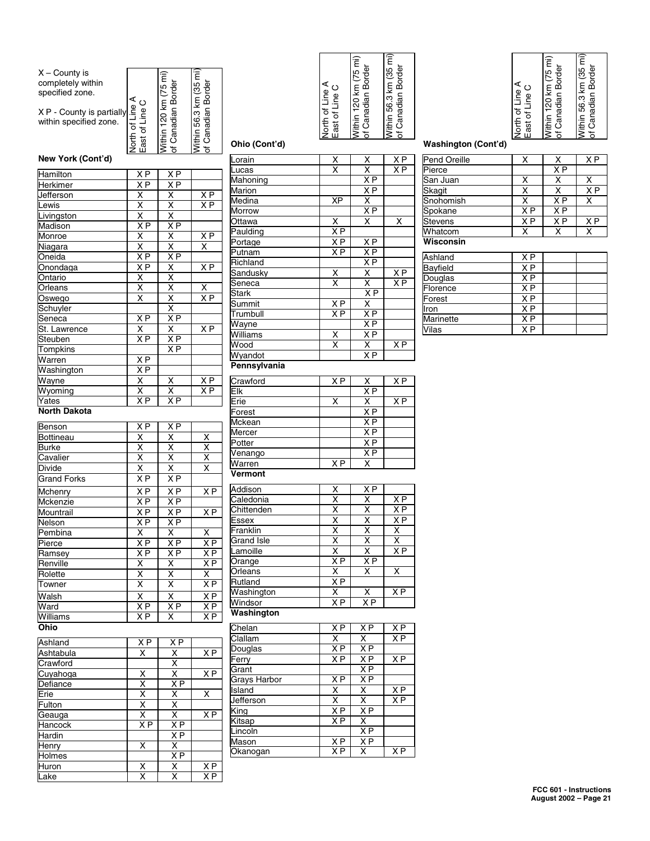| $X -$ County is<br>completely within<br>specified zone. |                                      | Within 120 km (75 mi<br>of Canadian Border | Within 56.3 km (35 mi)<br>of Canadian Border |
|---------------------------------------------------------|--------------------------------------|--------------------------------------------|----------------------------------------------|
|                                                         | North of Line A<br>$\circ$           |                                            |                                              |
| X P - County is partially                               |                                      |                                            |                                              |
| within specified zone.                                  |                                      |                                            |                                              |
|                                                         |                                      |                                            |                                              |
|                                                         | East of Line                         |                                            |                                              |
| New York (Cont'd)                                       |                                      |                                            |                                              |
| Hamilton                                                | ΧP                                   | $X \overline{P}$                           |                                              |
| Herkimer                                                | $X \overline{P}$                     | $X \overline{P}$                           |                                              |
| Jefferson                                               | X                                    |                                            | X P                                          |
| Lewis                                                   | $\overline{\mathsf{x}}$              |                                            | $X \overline{P}$                             |
| Livingston                                              |                                      |                                            |                                              |
| Madison                                                 | $\frac{X}{XP}$                       |                                            |                                              |
| Monroe                                                  |                                      |                                            | $X \overline{P}$                             |
| Niagara                                                 |                                      |                                            | $\overline{\mathsf{x}}$                      |
| Oneida                                                  | $\frac{\overline{X}}{\overline{X}P}$ |                                            |                                              |
| Onondaga                                                | X P                                  |                                            | X <sub>P</sub>                               |
| Ontario                                                 |                                      |                                            |                                              |
| Orleans                                                 | $\frac{\mathsf{X}}{\mathsf{X}}$      |                                            | Χ                                            |
| Oswego                                                  | $\overline{\mathsf{x}}$              |                                            | ΧP                                           |
| Schuyler                                                |                                      |                                            |                                              |
| Seneca                                                  | X P                                  | X P                                        |                                              |
| St. Lawrence                                            | $\overline{\mathsf{x}}$              | $\overline{\mathsf{x}}$                    | ΧP                                           |
| Steuben                                                 | $\overline{X}P$                      | $\overline{X}P$                            |                                              |
| Tompkins                                                |                                      | $X \overline{P}$                           |                                              |
| Warren                                                  | ΧP                                   |                                            |                                              |
| Washington                                              | X P                                  |                                            |                                              |
|                                                         |                                      |                                            | $X\overline{P}$                              |
| Wayne<br>Wyoming                                        | $\frac{x}{x}$                        | $\underline{x}$<br>$\overline{\mathsf{x}}$ | $\overline{XP}$                              |
|                                                         | $\overline{XP}$                      | X P                                        |                                              |
| Yates<br><b>North Dakota</b>                            |                                      |                                            |                                              |
| Benson                                                  | X P                                  | X P                                        |                                              |
| Bottineau                                               | χ                                    | χ                                          | X                                            |
| Burke                                                   |                                      |                                            |                                              |
| Cavalier                                                | $\frac{x}{x}$                        | $\frac{\mathsf{x}}{\mathsf{x}}$            | $\frac{x}{x}$                                |
| <b>Divide</b>                                           | X                                    |                                            |                                              |
| <b>Grand Forks</b>                                      | ΧP                                   | $\frac{X}{X}$                              |                                              |
| Mchenry                                                 | X P                                  | ХP                                         | $\overline{XP}$                              |
| Mckenzie                                                | X P                                  | X P                                        |                                              |
| Mountrail                                               | X P                                  | X P                                        | $\overline{X}P$                              |
| Nelson                                                  | $\overline{XP}$                      | X P                                        |                                              |
| Pembina                                                 | X                                    | х                                          | х                                            |
| Pierce                                                  | $X \overline{P}$                     | X P                                        | $X \overline{P}$                             |
| Ramsey                                                  | X P                                  | X P                                        | ΧP                                           |
| Renville                                                | X                                    | X                                          | ΧP                                           |
| Rolette                                                 | X                                    | Χ                                          | X                                            |
| Towner                                                  | $\overline{\mathsf{x}}$              | $\overline{\mathsf{x}}$                    | $\overline{XP}$                              |
| <b>Nalsh</b>                                            | $\overline{\mathsf{x}}$              | Χ                                          | $\overline{X}P$                              |
| Nard                                                    | $\overline{X}P$                      | ΧP                                         | X P                                          |
|                                                         |                                      |                                            |                                              |

| Ohio      |                |                |                |
|-----------|----------------|----------------|----------------|
| Ashland   | X <sub>P</sub> | X <sub>P</sub> |                |
| Ashtabula | X              | Χ              | X <sub>P</sub> |
| Crawford  |                | X              |                |
| Cuyahoga  | X              | X              | X <sub>P</sub> |
| Defiance  | X              | X <sub>P</sub> |                |
| Erie      | X              | X              | x              |
| Fulton    | X              | X              |                |
| Geauga    | X              | X              | X <sub>P</sub> |
| Hancock   | X <sub>P</sub> | X <sub>P</sub> |                |
| Hardin    |                | X <sub>P</sub> |                |
| Henry     | X              | X              |                |
| Holmes    |                | X <sub>P</sub> |                |
| Huron     | X              | X              | X <sub>P</sub> |
| Lake      | X              | X              | ΧP             |

Williams | XP | X | XP

| $\frac{x}{x}$<br>$\frac{\mathsf{x}}{\mathsf{x}}$<br>$rac{\overline{XP}}{\overline{XP}}$<br>Lorain<br>Lucas<br>XP<br>XP<br>XP<br>XP<br>Mahoning<br>Marion<br>$\overline{XP}$<br>Medina<br>Morrow<br>X<br>X P<br>X<br><u>Ottawa</u><br>Paulding<br>$\overline{X}P$<br>X P<br>X P<br>Portage<br>$\frac{X P}{X P}$<br>$\frac{X P}{X}$<br>Putnam<br>Richland<br>Sandusky<br>$\frac{\overline{x}}{\overline{x}}$<br><u>X P</u><br>X <sub>P</sub><br>Seneca<br>$\frac{X \cdot P}{X \cdot P}$ $\frac{X \cdot P}{X \cdot P}$<br><b>Stark</b><br>$X \overline{P}$<br>Summit<br>ΧP<br>Trumbull<br>Wayne<br>Williams<br>$\frac{\overline{x}}{\overline{x}}$<br>X<br>X P<br>Wood<br>ΧP<br>Wyandot<br>Pennsylvania<br>Crawford<br>ΧP<br>X<br>ΧP<br>X <sub>P</sub><br>Elk<br>$\frac{X}{X \cdot P}$<br>$\frac{X \cdot P}{X \cdot P}$<br>X<br>X P<br>Erie<br>Forest<br><b>Mckean</b><br>X P<br>X P<br>Mercer<br>Potter<br>X P<br>Venango<br>$\overline{\mathsf{x}}$<br>Warren<br>X <sub>P</sub><br>Vermont<br>Addison<br>$\frac{\overline{XP}}{\overline{X}}$<br>$\frac{X}{X}$<br>$\frac{X}{X}$<br>$\overline{XP}$<br><u>Caledonia</u><br>$\frac{\overline{x}}{\overline{x}}$<br>X P<br>X P<br>Chittenden<br>ssex:<br>Franklin<br>X<br>$\frac{\mathsf{x}}{\mathsf{x}}$<br>$\frac{\mathsf{x}}{\mathsf{x}}$<br>$\overline{\mathsf{x}}$<br><b>Grand Isle</b><br>$\overline{\mathsf{x}}$<br>χ<br>X P<br>.amoille<br>X P<br>$\overline{X}P$<br>Orange<br>X<br>$\overline{\mathsf{x}}$<br>X<br>Orleans<br>X P<br>Rutland<br><b>Nashington</b><br>Χ<br>X<br>ΧP<br>$\overline{X}P$<br>Nindsor<br>X <sub>P</sub><br>Washington<br>Chelan<br>$\overline{XP}$<br>X P<br>ΧP<br>Clallam<br>X<br>X<br>ΧP<br>$\overline{XP}$<br>ХP<br>Douglas<br>X P<br>$\overline{XP}$<br>$\overline{XP}$<br>Ferry<br>X P<br>Grant<br>$X \overline{P}$<br>ΧP<br>Grays Harbor<br>$\overline{\mathsf{x}}$<br>Island<br>X<br>ΧP<br>$\overline{\mathsf{x}}$<br>$\overline{\mathsf{x}}$<br>Jefferson<br>XР<br>ΧP<br>ΧP<br>King<br>$\overline{\mathsf{x}}$<br>Kitsap<br>ΧP<br>$\overline{XP}$<br>Lincoln<br>X <sub>P</sub><br>$X \overline{P}$<br>Mason<br>ΧP<br>ΧP<br><b>)kanogan</b><br>X |               | North of Line A<br>East of Line C | Within 120 km (75 mi)<br>of Canadian Border | Within 56.3 km (35 mi)<br>of Canadian Border |
|----------------------------------------------------------------------------------------------------------------------------------------------------------------------------------------------------------------------------------------------------------------------------------------------------------------------------------------------------------------------------------------------------------------------------------------------------------------------------------------------------------------------------------------------------------------------------------------------------------------------------------------------------------------------------------------------------------------------------------------------------------------------------------------------------------------------------------------------------------------------------------------------------------------------------------------------------------------------------------------------------------------------------------------------------------------------------------------------------------------------------------------------------------------------------------------------------------------------------------------------------------------------------------------------------------------------------------------------------------------------------------------------------------------------------------------------------------------------------------------------------------------------------------------------------------------------------------------------------------------------------------------------------------------------------------------------------------------------------------------------------------------------------------------------------------------------------------------------------------------------------------------------------------------------------------------------------------------------------------------------------------------------------------------------------------------------------------------------------------------------------------------|---------------|-----------------------------------|---------------------------------------------|----------------------------------------------|
|                                                                                                                                                                                                                                                                                                                                                                                                                                                                                                                                                                                                                                                                                                                                                                                                                                                                                                                                                                                                                                                                                                                                                                                                                                                                                                                                                                                                                                                                                                                                                                                                                                                                                                                                                                                                                                                                                                                                                                                                                                                                                                                                        | Ohio (Cont'd) |                                   |                                             |                                              |
|                                                                                                                                                                                                                                                                                                                                                                                                                                                                                                                                                                                                                                                                                                                                                                                                                                                                                                                                                                                                                                                                                                                                                                                                                                                                                                                                                                                                                                                                                                                                                                                                                                                                                                                                                                                                                                                                                                                                                                                                                                                                                                                                        |               |                                   |                                             |                                              |
|                                                                                                                                                                                                                                                                                                                                                                                                                                                                                                                                                                                                                                                                                                                                                                                                                                                                                                                                                                                                                                                                                                                                                                                                                                                                                                                                                                                                                                                                                                                                                                                                                                                                                                                                                                                                                                                                                                                                                                                                                                                                                                                                        |               |                                   |                                             |                                              |
|                                                                                                                                                                                                                                                                                                                                                                                                                                                                                                                                                                                                                                                                                                                                                                                                                                                                                                                                                                                                                                                                                                                                                                                                                                                                                                                                                                                                                                                                                                                                                                                                                                                                                                                                                                                                                                                                                                                                                                                                                                                                                                                                        |               |                                   |                                             |                                              |
|                                                                                                                                                                                                                                                                                                                                                                                                                                                                                                                                                                                                                                                                                                                                                                                                                                                                                                                                                                                                                                                                                                                                                                                                                                                                                                                                                                                                                                                                                                                                                                                                                                                                                                                                                                                                                                                                                                                                                                                                                                                                                                                                        |               |                                   |                                             |                                              |
|                                                                                                                                                                                                                                                                                                                                                                                                                                                                                                                                                                                                                                                                                                                                                                                                                                                                                                                                                                                                                                                                                                                                                                                                                                                                                                                                                                                                                                                                                                                                                                                                                                                                                                                                                                                                                                                                                                                                                                                                                                                                                                                                        |               |                                   |                                             |                                              |
|                                                                                                                                                                                                                                                                                                                                                                                                                                                                                                                                                                                                                                                                                                                                                                                                                                                                                                                                                                                                                                                                                                                                                                                                                                                                                                                                                                                                                                                                                                                                                                                                                                                                                                                                                                                                                                                                                                                                                                                                                                                                                                                                        |               |                                   |                                             |                                              |
|                                                                                                                                                                                                                                                                                                                                                                                                                                                                                                                                                                                                                                                                                                                                                                                                                                                                                                                                                                                                                                                                                                                                                                                                                                                                                                                                                                                                                                                                                                                                                                                                                                                                                                                                                                                                                                                                                                                                                                                                                                                                                                                                        |               |                                   |                                             |                                              |
|                                                                                                                                                                                                                                                                                                                                                                                                                                                                                                                                                                                                                                                                                                                                                                                                                                                                                                                                                                                                                                                                                                                                                                                                                                                                                                                                                                                                                                                                                                                                                                                                                                                                                                                                                                                                                                                                                                                                                                                                                                                                                                                                        |               |                                   |                                             |                                              |
|                                                                                                                                                                                                                                                                                                                                                                                                                                                                                                                                                                                                                                                                                                                                                                                                                                                                                                                                                                                                                                                                                                                                                                                                                                                                                                                                                                                                                                                                                                                                                                                                                                                                                                                                                                                                                                                                                                                                                                                                                                                                                                                                        |               |                                   |                                             |                                              |
|                                                                                                                                                                                                                                                                                                                                                                                                                                                                                                                                                                                                                                                                                                                                                                                                                                                                                                                                                                                                                                                                                                                                                                                                                                                                                                                                                                                                                                                                                                                                                                                                                                                                                                                                                                                                                                                                                                                                                                                                                                                                                                                                        |               |                                   |                                             |                                              |
|                                                                                                                                                                                                                                                                                                                                                                                                                                                                                                                                                                                                                                                                                                                                                                                                                                                                                                                                                                                                                                                                                                                                                                                                                                                                                                                                                                                                                                                                                                                                                                                                                                                                                                                                                                                                                                                                                                                                                                                                                                                                                                                                        |               |                                   |                                             |                                              |
|                                                                                                                                                                                                                                                                                                                                                                                                                                                                                                                                                                                                                                                                                                                                                                                                                                                                                                                                                                                                                                                                                                                                                                                                                                                                                                                                                                                                                                                                                                                                                                                                                                                                                                                                                                                                                                                                                                                                                                                                                                                                                                                                        |               |                                   |                                             |                                              |
|                                                                                                                                                                                                                                                                                                                                                                                                                                                                                                                                                                                                                                                                                                                                                                                                                                                                                                                                                                                                                                                                                                                                                                                                                                                                                                                                                                                                                                                                                                                                                                                                                                                                                                                                                                                                                                                                                                                                                                                                                                                                                                                                        |               |                                   |                                             |                                              |
|                                                                                                                                                                                                                                                                                                                                                                                                                                                                                                                                                                                                                                                                                                                                                                                                                                                                                                                                                                                                                                                                                                                                                                                                                                                                                                                                                                                                                                                                                                                                                                                                                                                                                                                                                                                                                                                                                                                                                                                                                                                                                                                                        |               |                                   |                                             |                                              |
|                                                                                                                                                                                                                                                                                                                                                                                                                                                                                                                                                                                                                                                                                                                                                                                                                                                                                                                                                                                                                                                                                                                                                                                                                                                                                                                                                                                                                                                                                                                                                                                                                                                                                                                                                                                                                                                                                                                                                                                                                                                                                                                                        |               |                                   |                                             |                                              |
|                                                                                                                                                                                                                                                                                                                                                                                                                                                                                                                                                                                                                                                                                                                                                                                                                                                                                                                                                                                                                                                                                                                                                                                                                                                                                                                                                                                                                                                                                                                                                                                                                                                                                                                                                                                                                                                                                                                                                                                                                                                                                                                                        |               |                                   |                                             |                                              |
|                                                                                                                                                                                                                                                                                                                                                                                                                                                                                                                                                                                                                                                                                                                                                                                                                                                                                                                                                                                                                                                                                                                                                                                                                                                                                                                                                                                                                                                                                                                                                                                                                                                                                                                                                                                                                                                                                                                                                                                                                                                                                                                                        |               |                                   |                                             |                                              |
|                                                                                                                                                                                                                                                                                                                                                                                                                                                                                                                                                                                                                                                                                                                                                                                                                                                                                                                                                                                                                                                                                                                                                                                                                                                                                                                                                                                                                                                                                                                                                                                                                                                                                                                                                                                                                                                                                                                                                                                                                                                                                                                                        |               |                                   |                                             |                                              |
|                                                                                                                                                                                                                                                                                                                                                                                                                                                                                                                                                                                                                                                                                                                                                                                                                                                                                                                                                                                                                                                                                                                                                                                                                                                                                                                                                                                                                                                                                                                                                                                                                                                                                                                                                                                                                                                                                                                                                                                                                                                                                                                                        |               |                                   |                                             |                                              |
|                                                                                                                                                                                                                                                                                                                                                                                                                                                                                                                                                                                                                                                                                                                                                                                                                                                                                                                                                                                                                                                                                                                                                                                                                                                                                                                                                                                                                                                                                                                                                                                                                                                                                                                                                                                                                                                                                                                                                                                                                                                                                                                                        |               |                                   |                                             |                                              |
|                                                                                                                                                                                                                                                                                                                                                                                                                                                                                                                                                                                                                                                                                                                                                                                                                                                                                                                                                                                                                                                                                                                                                                                                                                                                                                                                                                                                                                                                                                                                                                                                                                                                                                                                                                                                                                                                                                                                                                                                                                                                                                                                        |               |                                   |                                             |                                              |
|                                                                                                                                                                                                                                                                                                                                                                                                                                                                                                                                                                                                                                                                                                                                                                                                                                                                                                                                                                                                                                                                                                                                                                                                                                                                                                                                                                                                                                                                                                                                                                                                                                                                                                                                                                                                                                                                                                                                                                                                                                                                                                                                        |               |                                   |                                             |                                              |
|                                                                                                                                                                                                                                                                                                                                                                                                                                                                                                                                                                                                                                                                                                                                                                                                                                                                                                                                                                                                                                                                                                                                                                                                                                                                                                                                                                                                                                                                                                                                                                                                                                                                                                                                                                                                                                                                                                                                                                                                                                                                                                                                        |               |                                   |                                             |                                              |
|                                                                                                                                                                                                                                                                                                                                                                                                                                                                                                                                                                                                                                                                                                                                                                                                                                                                                                                                                                                                                                                                                                                                                                                                                                                                                                                                                                                                                                                                                                                                                                                                                                                                                                                                                                                                                                                                                                                                                                                                                                                                                                                                        |               |                                   |                                             |                                              |
|                                                                                                                                                                                                                                                                                                                                                                                                                                                                                                                                                                                                                                                                                                                                                                                                                                                                                                                                                                                                                                                                                                                                                                                                                                                                                                                                                                                                                                                                                                                                                                                                                                                                                                                                                                                                                                                                                                                                                                                                                                                                                                                                        |               |                                   |                                             |                                              |
|                                                                                                                                                                                                                                                                                                                                                                                                                                                                                                                                                                                                                                                                                                                                                                                                                                                                                                                                                                                                                                                                                                                                                                                                                                                                                                                                                                                                                                                                                                                                                                                                                                                                                                                                                                                                                                                                                                                                                                                                                                                                                                                                        |               |                                   |                                             |                                              |
|                                                                                                                                                                                                                                                                                                                                                                                                                                                                                                                                                                                                                                                                                                                                                                                                                                                                                                                                                                                                                                                                                                                                                                                                                                                                                                                                                                                                                                                                                                                                                                                                                                                                                                                                                                                                                                                                                                                                                                                                                                                                                                                                        |               |                                   |                                             |                                              |
|                                                                                                                                                                                                                                                                                                                                                                                                                                                                                                                                                                                                                                                                                                                                                                                                                                                                                                                                                                                                                                                                                                                                                                                                                                                                                                                                                                                                                                                                                                                                                                                                                                                                                                                                                                                                                                                                                                                                                                                                                                                                                                                                        |               |                                   |                                             |                                              |
|                                                                                                                                                                                                                                                                                                                                                                                                                                                                                                                                                                                                                                                                                                                                                                                                                                                                                                                                                                                                                                                                                                                                                                                                                                                                                                                                                                                                                                                                                                                                                                                                                                                                                                                                                                                                                                                                                                                                                                                                                                                                                                                                        |               |                                   |                                             |                                              |
|                                                                                                                                                                                                                                                                                                                                                                                                                                                                                                                                                                                                                                                                                                                                                                                                                                                                                                                                                                                                                                                                                                                                                                                                                                                                                                                                                                                                                                                                                                                                                                                                                                                                                                                                                                                                                                                                                                                                                                                                                                                                                                                                        |               |                                   |                                             |                                              |
|                                                                                                                                                                                                                                                                                                                                                                                                                                                                                                                                                                                                                                                                                                                                                                                                                                                                                                                                                                                                                                                                                                                                                                                                                                                                                                                                                                                                                                                                                                                                                                                                                                                                                                                                                                                                                                                                                                                                                                                                                                                                                                                                        |               |                                   |                                             |                                              |
|                                                                                                                                                                                                                                                                                                                                                                                                                                                                                                                                                                                                                                                                                                                                                                                                                                                                                                                                                                                                                                                                                                                                                                                                                                                                                                                                                                                                                                                                                                                                                                                                                                                                                                                                                                                                                                                                                                                                                                                                                                                                                                                                        |               |                                   |                                             |                                              |
|                                                                                                                                                                                                                                                                                                                                                                                                                                                                                                                                                                                                                                                                                                                                                                                                                                                                                                                                                                                                                                                                                                                                                                                                                                                                                                                                                                                                                                                                                                                                                                                                                                                                                                                                                                                                                                                                                                                                                                                                                                                                                                                                        |               |                                   |                                             |                                              |
|                                                                                                                                                                                                                                                                                                                                                                                                                                                                                                                                                                                                                                                                                                                                                                                                                                                                                                                                                                                                                                                                                                                                                                                                                                                                                                                                                                                                                                                                                                                                                                                                                                                                                                                                                                                                                                                                                                                                                                                                                                                                                                                                        |               |                                   |                                             |                                              |
|                                                                                                                                                                                                                                                                                                                                                                                                                                                                                                                                                                                                                                                                                                                                                                                                                                                                                                                                                                                                                                                                                                                                                                                                                                                                                                                                                                                                                                                                                                                                                                                                                                                                                                                                                                                                                                                                                                                                                                                                                                                                                                                                        |               |                                   |                                             |                                              |
|                                                                                                                                                                                                                                                                                                                                                                                                                                                                                                                                                                                                                                                                                                                                                                                                                                                                                                                                                                                                                                                                                                                                                                                                                                                                                                                                                                                                                                                                                                                                                                                                                                                                                                                                                                                                                                                                                                                                                                                                                                                                                                                                        |               |                                   |                                             |                                              |
|                                                                                                                                                                                                                                                                                                                                                                                                                                                                                                                                                                                                                                                                                                                                                                                                                                                                                                                                                                                                                                                                                                                                                                                                                                                                                                                                                                                                                                                                                                                                                                                                                                                                                                                                                                                                                                                                                                                                                                                                                                                                                                                                        |               |                                   |                                             |                                              |
|                                                                                                                                                                                                                                                                                                                                                                                                                                                                                                                                                                                                                                                                                                                                                                                                                                                                                                                                                                                                                                                                                                                                                                                                                                                                                                                                                                                                                                                                                                                                                                                                                                                                                                                                                                                                                                                                                                                                                                                                                                                                                                                                        |               |                                   |                                             |                                              |
|                                                                                                                                                                                                                                                                                                                                                                                                                                                                                                                                                                                                                                                                                                                                                                                                                                                                                                                                                                                                                                                                                                                                                                                                                                                                                                                                                                                                                                                                                                                                                                                                                                                                                                                                                                                                                                                                                                                                                                                                                                                                                                                                        |               |                                   |                                             |                                              |
|                                                                                                                                                                                                                                                                                                                                                                                                                                                                                                                                                                                                                                                                                                                                                                                                                                                                                                                                                                                                                                                                                                                                                                                                                                                                                                                                                                                                                                                                                                                                                                                                                                                                                                                                                                                                                                                                                                                                                                                                                                                                                                                                        |               |                                   |                                             |                                              |
|                                                                                                                                                                                                                                                                                                                                                                                                                                                                                                                                                                                                                                                                                                                                                                                                                                                                                                                                                                                                                                                                                                                                                                                                                                                                                                                                                                                                                                                                                                                                                                                                                                                                                                                                                                                                                                                                                                                                                                                                                                                                                                                                        |               |                                   |                                             |                                              |
|                                                                                                                                                                                                                                                                                                                                                                                                                                                                                                                                                                                                                                                                                                                                                                                                                                                                                                                                                                                                                                                                                                                                                                                                                                                                                                                                                                                                                                                                                                                                                                                                                                                                                                                                                                                                                                                                                                                                                                                                                                                                                                                                        |               |                                   |                                             |                                              |
|                                                                                                                                                                                                                                                                                                                                                                                                                                                                                                                                                                                                                                                                                                                                                                                                                                                                                                                                                                                                                                                                                                                                                                                                                                                                                                                                                                                                                                                                                                                                                                                                                                                                                                                                                                                                                                                                                                                                                                                                                                                                                                                                        |               |                                   |                                             |                                              |
|                                                                                                                                                                                                                                                                                                                                                                                                                                                                                                                                                                                                                                                                                                                                                                                                                                                                                                                                                                                                                                                                                                                                                                                                                                                                                                                                                                                                                                                                                                                                                                                                                                                                                                                                                                                                                                                                                                                                                                                                                                                                                                                                        |               |                                   |                                             |                                              |
|                                                                                                                                                                                                                                                                                                                                                                                                                                                                                                                                                                                                                                                                                                                                                                                                                                                                                                                                                                                                                                                                                                                                                                                                                                                                                                                                                                                                                                                                                                                                                                                                                                                                                                                                                                                                                                                                                                                                                                                                                                                                                                                                        |               |                                   |                                             |                                              |
|                                                                                                                                                                                                                                                                                                                                                                                                                                                                                                                                                                                                                                                                                                                                                                                                                                                                                                                                                                                                                                                                                                                                                                                                                                                                                                                                                                                                                                                                                                                                                                                                                                                                                                                                                                                                                                                                                                                                                                                                                                                                                                                                        |               |                                   |                                             |                                              |
|                                                                                                                                                                                                                                                                                                                                                                                                                                                                                                                                                                                                                                                                                                                                                                                                                                                                                                                                                                                                                                                                                                                                                                                                                                                                                                                                                                                                                                                                                                                                                                                                                                                                                                                                                                                                                                                                                                                                                                                                                                                                                                                                        |               |                                   |                                             |                                              |
|                                                                                                                                                                                                                                                                                                                                                                                                                                                                                                                                                                                                                                                                                                                                                                                                                                                                                                                                                                                                                                                                                                                                                                                                                                                                                                                                                                                                                                                                                                                                                                                                                                                                                                                                                                                                                                                                                                                                                                                                                                                                                                                                        |               |                                   |                                             |                                              |
|                                                                                                                                                                                                                                                                                                                                                                                                                                                                                                                                                                                                                                                                                                                                                                                                                                                                                                                                                                                                                                                                                                                                                                                                                                                                                                                                                                                                                                                                                                                                                                                                                                                                                                                                                                                                                                                                                                                                                                                                                                                                                                                                        |               |                                   |                                             |                                              |
|                                                                                                                                                                                                                                                                                                                                                                                                                                                                                                                                                                                                                                                                                                                                                                                                                                                                                                                                                                                                                                                                                                                                                                                                                                                                                                                                                                                                                                                                                                                                                                                                                                                                                                                                                                                                                                                                                                                                                                                                                                                                                                                                        |               |                                   |                                             |                                              |

# **Washington (Cont'd)**

| <b>Pend Oreille</b> | x              | х              | X <sub>P</sub> |
|---------------------|----------------|----------------|----------------|
| Pierce              |                | X <sub>P</sub> |                |
| San Juan            | х              | х              | х              |
| Skagit              | x              |                | X <sub>P</sub> |
| Snohomish           | x              | X <sub>P</sub> | x              |
| Spokane             | X <sub>P</sub> | X <sub>P</sub> |                |
| <b>Stevens</b>      | X <sub>P</sub> | X <sub>P</sub> | X <sub>P</sub> |
| Whatcom             | x              | x              | x              |
| Wisconsin           |                |                |                |
|                     |                |                |                |

North of Line A East of Line C

North of Line A<br>East of Line C

Within 120 km (75 mi) of Canadian Border

Within 120 km (75 mi)<br>of Canadian Border

Within 56.3 km (35 mi) of Canadian Border

Within 56.3 km (35 mi)<br>of Canadian Border

| Ashland   | XP             |  |
|-----------|----------------|--|
| Bayfield  | X <sub>P</sub> |  |
| Douglas   | X <sub>P</sub> |  |
| Florence  | X <sub>P</sub> |  |
| Forest    | X <sub>P</sub> |  |
| Iron      | X <sub>P</sub> |  |
| Marinette | X <sub>P</sub> |  |
| /ilas     | xР             |  |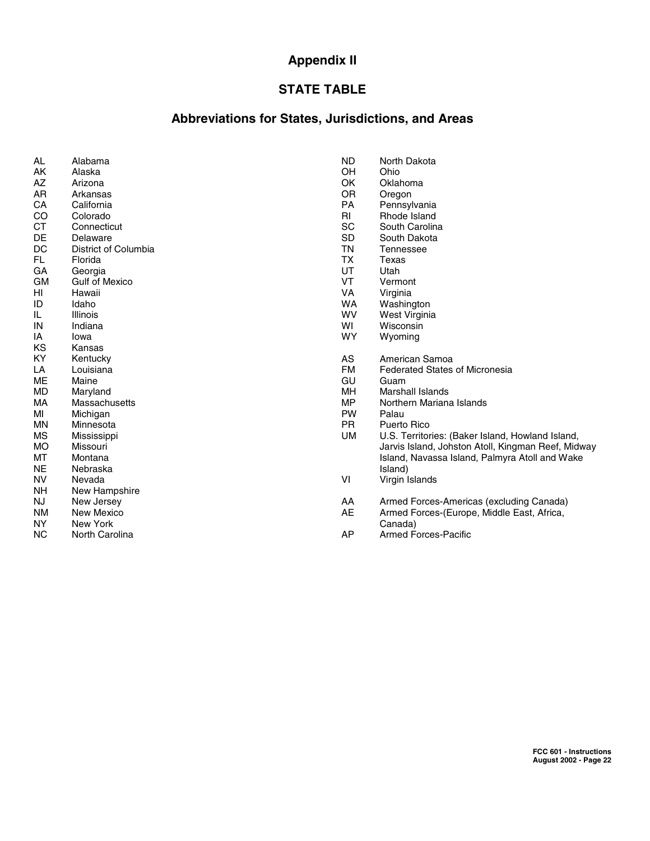# **Appendix II**

# **STATE TABLE**

# **Abbreviations for States, Jurisdictions, and Areas**

| AL        | Alabama               |
|-----------|-----------------------|
| AΚ        | Alaska                |
| AZ        | Arizona               |
| AR        | Arkansas              |
| CA        | California            |
| CO        | Colorado              |
| СT        | Connecticut           |
| DE        | Delaware              |
| DC        | District of Columbia  |
| FL        | Florida               |
| GA        | Georgia               |
| <b>GM</b> | <b>Gulf of Mexico</b> |
| HI        | Hawaii                |
| ID        | Idaho                 |
| IL        | Illinois              |
| IN        | Indiana               |
| I٨        | Iowa                  |
| ΚS        | Kansas                |
| KY        | Kentucky              |
| LA        | Louisiana             |
| ME        | Maine                 |
| MD        | Maryland              |
| МA        | Massachusetts         |
| мі        | Michigan              |
| ΜN        | Minnesota             |
| ΜS        | Mississippi           |
| МO        | Missouri              |
| МΤ        | Montana               |
| NΕ        | Nebraska              |
| NV        | Nevada                |
| NΗ        | New Hampshire         |
| NJ        | New Jersey            |
| ΝM        | <b>New Mexico</b>     |
| NΥ        | New York              |
| ΝC        | North Carolina        |

| ND | North Dakota |
|----|--------------|
|    |              |

- OH Ohio<br>OK Oklał
- OK Oklahoma<br>OR Oregon
- OR Oregon<br>PA Pennsyl
- PA Pennsylvania<br>RI Rhode Island RI Rhode Island<br>SC South Carolin
- SC South Carolina<br>SD South Dakota
- South Dakota
- TN Tennessee
- TX Texas<br>UT Utah
- UT Utah<br>VT Verm
- VT Vermont<br>VA Virginia
- VA Virginia<br>WA Washing
- WA Washington<br>WV West Virginia
- WV West Virginia<br>WI Wisconsin
- WI Wisconsin<br>WY Wyoming Wyoming
- 
- AS American Samoa<br>FM Federated States
- FM Federated States of Micronesia<br>GU Guam
- GU Guam<br>MH Marsha
- MH Marshall Islands<br>MP Northern Mariana
- MP Northern Mariana Islands<br>PW Palau
- PW Palau<br>PR Puerto
- PR Puerto Rico<br>UM U.S. Territor
- U.S. Territories: (Baker Island, Howland Island, Jarvis Island, Johston Atoll, Kingman Reef, Midway Island, Navassa Island, Palmyra Atoll and Wake Island)
- VI Virgin Islands
- AA Armed Forces-Americas (excluding Canada)
- AE Armed Forces-(Europe, Middle East, Africa, Canada)
- AP Armed Forces-Pacific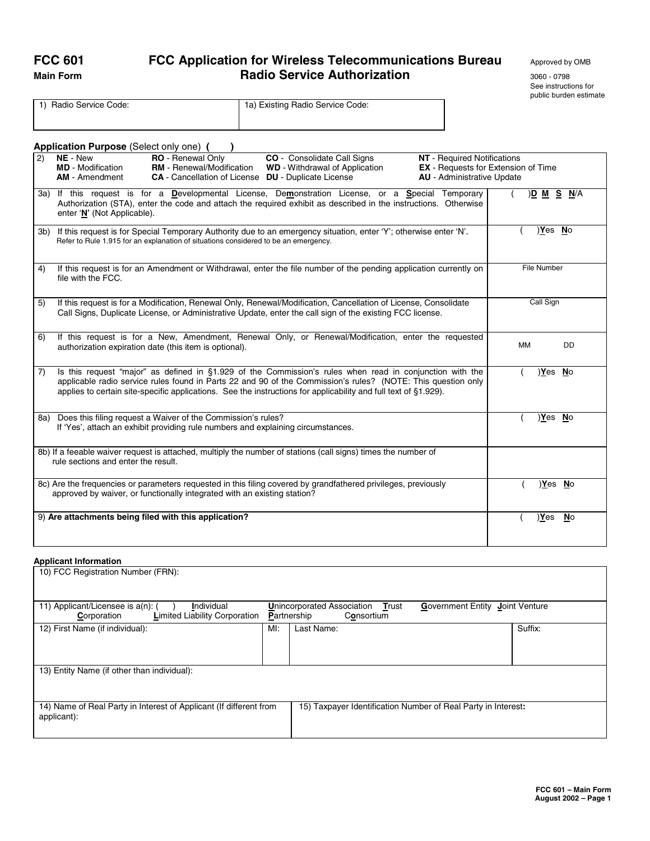# **FCC 601 FCC Application for Wireless Telecommunications Bureau** Approved by OMB **Main Form** 3060 - 0798 **Radio Service Authorization** 3060 - 0798

See instructions for public burden estimate

|    | 1) Radio Service Code:                                                                                                                                                                                                                                                                                                                      | 1a) Existing Radio Service Code:                                                                                                          |                                                                                                                       |                |           |
|----|---------------------------------------------------------------------------------------------------------------------------------------------------------------------------------------------------------------------------------------------------------------------------------------------------------------------------------------------|-------------------------------------------------------------------------------------------------------------------------------------------|-----------------------------------------------------------------------------------------------------------------------|----------------|-----------|
|    |                                                                                                                                                                                                                                                                                                                                             |                                                                                                                                           |                                                                                                                       |                |           |
|    |                                                                                                                                                                                                                                                                                                                                             |                                                                                                                                           |                                                                                                                       |                |           |
|    | Application Purpose (Select only one) (                                                                                                                                                                                                                                                                                                     |                                                                                                                                           |                                                                                                                       |                |           |
| 2) | NE - New<br>RO - Renewal Only<br><b>RM</b> - Renewal/Modification<br><b>MD</b> - Modification<br><b>AM</b> - Amendment                                                                                                                                                                                                                      | CO - Consolidate Call Signs<br><b>WD</b> - Withdrawal of Application<br><b>CA</b> - Cancellation of License <b>DU</b> - Duplicate License | <b>NT</b> - Required Notifications<br><b>EX</b> - Requests for Extension of Time<br><b>AU</b> - Administrative Update |                |           |
|    | 3a) If this request is for a Developmental License, Demonstration License, or a Special Temporary<br>Authorization (STA), enter the code and attach the required exhibit as described in the instructions. Otherwise<br>enter 'N' (Not Applicable).                                                                                         |                                                                                                                                           |                                                                                                                       | )D M S N/A     |           |
|    | 3b) If this request is for Special Temporary Authority due to an emergency situation, enter 'Y'; otherwise enter 'N'.<br>Refer to Rule 1.915 for an explanation of situations considered to be an emergency.                                                                                                                                |                                                                                                                                           |                                                                                                                       | )Yes No        |           |
| 4) | If this request is for an Amendment or Withdrawal, enter the file number of the pending application currently on<br>file with the FCC.                                                                                                                                                                                                      |                                                                                                                                           |                                                                                                                       | File Number    |           |
| 5) | If this request is for a Modification, Renewal Only, Renewal/Modification, Cancellation of License, Consolidate<br>Call Signs, Duplicate License, or Administrative Update, enter the call sign of the existing FCC license.                                                                                                                |                                                                                                                                           |                                                                                                                       | Call Sign      |           |
| 6) | If this request is for a New, Amendment, Renewal Only, or Renewal/Modification, enter the requested<br>authorization expiration date (this item is optional).                                                                                                                                                                               |                                                                                                                                           |                                                                                                                       | <b>MM</b>      | DD        |
| 7) | Is this request "major" as defined in §1.929 of the Commission's rules when read in conjunction with the<br>applicable radio service rules found in Parts 22 and 90 of the Commission's rules? (NOTE: This question only<br>applies to certain site-specific applications. See the instructions for applicability and full text of §1.929). |                                                                                                                                           |                                                                                                                       | Yes No         |           |
|    | 8a) Does this filing request a Waiver of the Commission's rules?<br>If 'Yes', attach an exhibit providing rule numbers and explaining circumstances.                                                                                                                                                                                        |                                                                                                                                           |                                                                                                                       | <u>)Yes No</u> |           |
|    | 8b) If a feeable waiver request is attached, multiply the number of stations (call signs) times the number of<br>rule sections and enter the result.                                                                                                                                                                                        |                                                                                                                                           |                                                                                                                       |                |           |
|    | 8c) Are the frequencies or parameters requested in this filing covered by grandfathered privileges, previously<br>approved by waiver, or functionally integrated with an existing station?                                                                                                                                                  |                                                                                                                                           |                                                                                                                       | )Yes No        |           |
|    | 9) Are attachments being filed with this application?                                                                                                                                                                                                                                                                                       |                                                                                                                                           |                                                                                                                       | Yes            | <b>No</b> |

# **Applicant Information**

| 10) FCC Registration Number (FRN):                                                                                                                 |     |                                                                                                            |         |  |  |
|----------------------------------------------------------------------------------------------------------------------------------------------------|-----|------------------------------------------------------------------------------------------------------------|---------|--|--|
| 11) Applicant/Licensee is a(n): (<br>Individual<br>Limited Liability Corporation<br>Corporation                                                    |     | <b>Unincorporated Association</b><br>Government Entity Joint Venture<br>Trust<br>Partnership<br>Consortium |         |  |  |
| 12) First Name (if individual):                                                                                                                    | MI: | Last Name:                                                                                                 | Suffix: |  |  |
| 13) Entity Name (if other than individual):                                                                                                        |     |                                                                                                            |         |  |  |
| 15) Taxpayer Identification Number of Real Party in Interest:<br>14) Name of Real Party in Interest of Applicant (If different from<br>applicant): |     |                                                                                                            |         |  |  |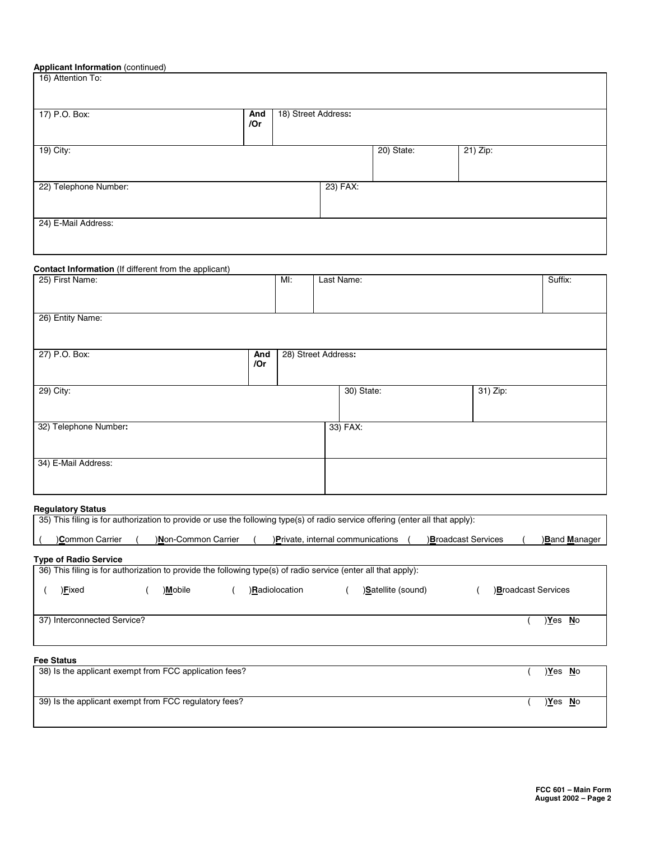# **Applicant Information** (continued)

| 17) P.O. Box:         | And<br>/Or | 18) Street Address: |          |            |          |  |
|-----------------------|------------|---------------------|----------|------------|----------|--|
| 19) City:             |            |                     |          | 20) State: | 21) Zip: |  |
| 22) Telephone Number: |            |                     | 23) FAX: |            |          |  |

# **Contact Information** (If different from the applicant)

| 25) First Name:       |            | MI:                 | Last Name: |            |          | Suffix: |
|-----------------------|------------|---------------------|------------|------------|----------|---------|
|                       |            |                     |            |            |          |         |
| 26) Entity Name:      |            |                     |            |            |          |         |
|                       |            |                     |            |            |          |         |
| 27) P.O. Box:         | And<br>/Or | 28) Street Address: |            |            |          |         |
| 29) City:             |            |                     |            | 30) State: | 31) Zip: |         |
| 32) Telephone Number: |            |                     |            | 33) FAX:   |          |         |
| 34) E-Mail Address:   |            |                     |            |            |          |         |

# **Regulatory Status**

| 35) This filing is for authorization to provide or use the following type(s) of radio service offering (enter all that apply): |                     |                |                                   |                    |                           |  |                           |                     |
|--------------------------------------------------------------------------------------------------------------------------------|---------------------|----------------|-----------------------------------|--------------------|---------------------------|--|---------------------------|---------------------|
| Common Carrier                                                                                                                 | )Non-Common Carrier |                | )Private, internal communications |                    | <b>Broadcast Services</b> |  |                           | <b>Band Manager</b> |
| <b>Type of Radio Service</b>                                                                                                   |                     |                |                                   |                    |                           |  |                           |                     |
| 36) This filing is for authorization to provide the following type(s) of radio service (enter all that apply):                 |                     |                |                                   |                    |                           |  |                           |                     |
| )Eixed                                                                                                                         | )Mobile             | )Radiolocation |                                   | )Satellite (sound) |                           |  | <b>Broadcast Services</b> |                     |
| 37) Interconnected Service?                                                                                                    |                     |                |                                   |                    |                           |  | <u>Yes No</u>             |                     |
| <b>Fee Status</b>                                                                                                              |                     |                |                                   |                    |                           |  |                           |                     |
| 38) Is the applicant exempt from FCC application fees?                                                                         |                     |                |                                   |                    |                           |  | <u>)Y</u> es <u>N</u> o   |                     |

| 39) Is the applicant exempt from FCC regulatory fees? | Yes | <b>No</b> |
|-------------------------------------------------------|-----|-----------|
|                                                       |     |           |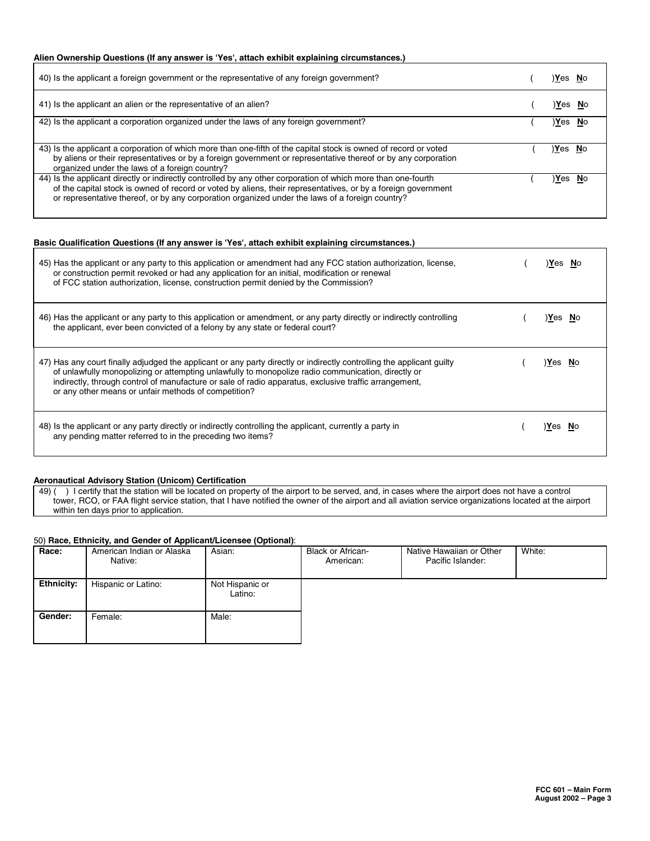# **Alien Ownership Questions (If any answer is 'Yes', attach exhibit explaining circumstances.)**

| 40) Is the applicant a foreign government or the representative of any foreign government?                                                                                                                                                                                                                                        | )Yes No |           |
|-----------------------------------------------------------------------------------------------------------------------------------------------------------------------------------------------------------------------------------------------------------------------------------------------------------------------------------|---------|-----------|
| 41) Is the applicant an alien or the representative of an alien?                                                                                                                                                                                                                                                                  | Yes)    |           |
| 42) Is the applicant a corporation organized under the laws of any foreign government?                                                                                                                                                                                                                                            | Yes)    | <b>No</b> |
| 43) Is the applicant a corporation of which more than one-fifth of the capital stock is owned of record or voted<br>by aliens or their representatives or by a foreign government or representative thereof or by any corporation<br>organized under the laws of a foreign country?                                               | )Yes No |           |
| 44) Is the applicant directly or indirectly controlled by any other corporation of which more than one-fourth<br>of the capital stock is owned of record or voted by aliens, their representatives, or by a foreign government<br>or representative thereof, or by any corporation organized under the laws of a foreign country? | )Yes    | <b>No</b> |

#### **Basic Qualification Questions (If any answer is 'Yes', attach exhibit explaining circumstances.)**

| 45) Has the applicant or any party to this application or amendment had any FCC station authorization, license,<br>or construction permit revoked or had any application for an initial, modification or renewal<br>of FCC station authorization, license, construction permit denied by the Commission?                                                                                     | Yes No  |  |
|----------------------------------------------------------------------------------------------------------------------------------------------------------------------------------------------------------------------------------------------------------------------------------------------------------------------------------------------------------------------------------------------|---------|--|
| 46) Has the applicant or any party to this application or amendment, or any party directly or indirectly controlling<br>the applicant, ever been convicted of a felony by any state or federal court?                                                                                                                                                                                        | Yes No  |  |
| 47) Has any court finally adjudged the applicant or any party directly or indirectly controlling the applicant guilty<br>of unlawfully monopolizing or attempting unlawfully to monopolize radio communication, directly or<br>indirectly, through control of manufacture or sale of radio apparatus, exclusive traffic arrangement,<br>or any other means or unfair methods of competition? | Yes No  |  |
| 48) Is the applicant or any party directly or indirectly controlling the applicant, currently a party in<br>any pending matter referred to in the preceding two items?                                                                                                                                                                                                                       | ≀Yes No |  |

# **Aeronautical Advisory Station (Unicom) Certification**

49) ( ) I certify that the station will be located on property of the airport to be served, and, in cases where the airport does not have a control tower, RCO, or FAA flight service station, that I have notified the owner of the airport and all aviation service organizations located at the airport within ten days prior to application.

#### 50) **Race, Ethnicity, and Gender of Applicant/Licensee (Optional)**:

| Race:             | American Indian or Alaska<br>Native: | Asian:                     | <b>Black or African-</b><br>American: | Native Hawaiian or Other<br>Pacific Islander: | White: |
|-------------------|--------------------------------------|----------------------------|---------------------------------------|-----------------------------------------------|--------|
| <b>Ethnicity:</b> | Hispanic or Latino:                  | Not Hispanic or<br>Latino: |                                       |                                               |        |
| Gender:           | Female:                              | Male:                      |                                       |                                               |        |